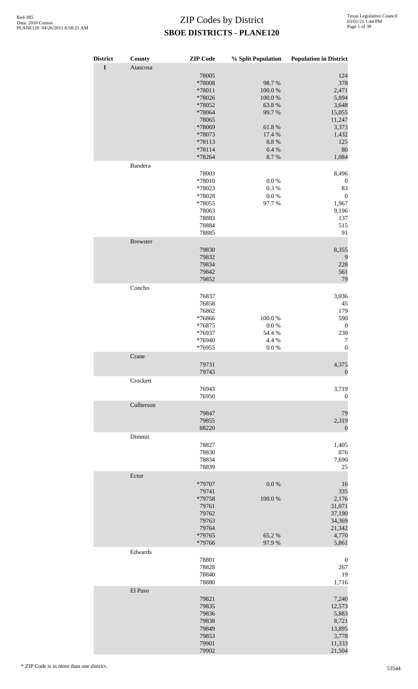| <b>District</b><br>$\mathbf 1$ | County<br>Atascosa | <b>ZIP</b> Code                                                                                                      | % Split Population                                                                      | <b>Population in District</b>                                                                     |
|--------------------------------|--------------------|----------------------------------------------------------------------------------------------------------------------|-----------------------------------------------------------------------------------------|---------------------------------------------------------------------------------------------------|
|                                |                    | 78005<br>*78008<br>*78011<br>*78026<br>*78052<br>*78064<br>78065<br>*78069<br>*78073<br>*78113<br>$*78114$<br>*78264 | 98.7%<br>100.0%<br>100.0%<br>63.8%<br>99.7%<br>61.8%<br>17.4 %<br>8.8%<br>0.4 %<br>8.7% | 124<br>378<br>2,471<br>5,894<br>3,648<br>15,055<br>11,247<br>3,373<br>1,432<br>125<br>80<br>1,084 |
|                                | Bandera            |                                                                                                                      |                                                                                         |                                                                                                   |
|                                |                    | 78003<br>*78010<br>*78023<br>*78028<br>*78055<br>78063<br>78883<br>78884<br>78885                                    | $0.0\ \%$<br>0.3 %<br>$0.0\ \%$<br>97.7%                                                | 8,496<br>$\boldsymbol{0}$<br>83<br>$\boldsymbol{0}$<br>1,967<br>9,196<br>137<br>515<br>91         |
|                                | <b>Brewster</b>    |                                                                                                                      |                                                                                         |                                                                                                   |
|                                |                    | 79830<br>79832<br>79834<br>79842<br>79852                                                                            |                                                                                         | 8,355<br>9<br>228<br>561<br>79                                                                    |
|                                | Concho             | 76837<br>76858<br>76862<br>*76866<br>*76875<br>*76937<br>*76940                                                      | 100.0%<br>0.0 %<br>54.4 %<br>4.4 %                                                      | 3,036<br>45<br>179<br>590<br>$\boldsymbol{0}$<br>230<br>7                                         |
|                                | Crane              | *76955                                                                                                               | 0.0 %                                                                                   | $\boldsymbol{0}$                                                                                  |
|                                |                    | 79731<br>79743                                                                                                       |                                                                                         | 4,375<br>$\mathbf{0}$                                                                             |
|                                | Crockett           | 76943<br>76950                                                                                                       |                                                                                         | 3,719<br>$\boldsymbol{0}$                                                                         |
|                                | Culberson          |                                                                                                                      |                                                                                         |                                                                                                   |
|                                |                    | 79847<br>79855<br>88220                                                                                              |                                                                                         | 79<br>2,319<br>$\boldsymbol{0}$                                                                   |
|                                | Dimmit             | 78827<br>78830<br>78834<br>78839                                                                                     |                                                                                         | 1,405<br>876<br>7,690<br>25                                                                       |
|                                | Ector              |                                                                                                                      |                                                                                         |                                                                                                   |
|                                |                    | *79707<br>79741<br>*79758<br>79761<br>79762<br>79763<br>79764<br>*79765                                              | $0.0\ \%$<br>100.0%<br>65.2%                                                            | 16<br>335<br>2,176<br>31,071<br>37,190<br>34,369<br>21,342<br>4,770                               |
|                                | Edwards            | *79766                                                                                                               | 97.9%                                                                                   | 5,861                                                                                             |
|                                |                    | 78801<br>78828<br>78840<br>78880                                                                                     |                                                                                         | $\boldsymbol{0}$<br>267<br>19<br>1,716                                                            |
|                                | El Paso            | 79821<br>79835<br>79836<br>79838<br>79849<br>79853<br>79901<br>79902                                                 |                                                                                         | 7,240<br>12,573<br>5,883<br>8,721<br>13,895<br>3,778<br>11,333<br>21,504                          |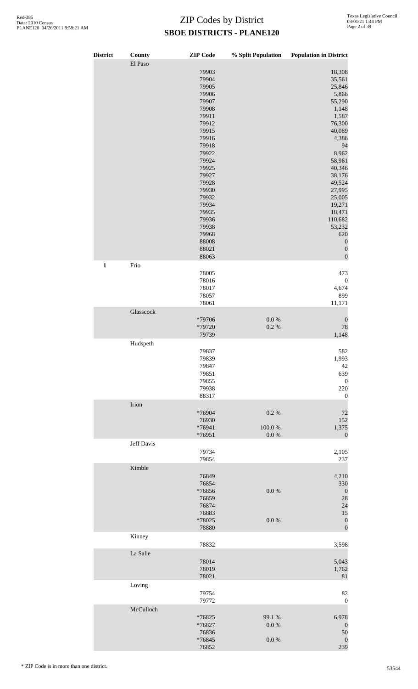| <b>District</b> | County     | <b>ZIP</b> Code                                                                                                                                                                                                                        | % Split Population          | <b>Population in District</b>                                                                                                                                                                                                                                                       |
|-----------------|------------|----------------------------------------------------------------------------------------------------------------------------------------------------------------------------------------------------------------------------------------|-----------------------------|-------------------------------------------------------------------------------------------------------------------------------------------------------------------------------------------------------------------------------------------------------------------------------------|
|                 | El Paso    | 79903<br>79904<br>79905<br>79906<br>79907<br>79908<br>79911<br>79912<br>79915<br>79916<br>79918<br>79922<br>79924<br>79925<br>79927<br>79928<br>79930<br>79932<br>79934<br>79935<br>79936<br>79938<br>79968<br>88008<br>88021<br>88063 |                             | 18,308<br>35,561<br>25,846<br>5,866<br>55,290<br>1,148<br>1,587<br>76,300<br>40,089<br>4,386<br>94<br>8,962<br>58,961<br>40,346<br>38,176<br>49,524<br>27,995<br>25,005<br>19,271<br>18,471<br>110,682<br>53,232<br>620<br>$\boldsymbol{0}$<br>$\boldsymbol{0}$<br>$\boldsymbol{0}$ |
| $\mathbf 1$     | Frio       |                                                                                                                                                                                                                                        |                             |                                                                                                                                                                                                                                                                                     |
|                 |            | 78005<br>78016<br>78017<br>78057<br>78061                                                                                                                                                                                              |                             | 473<br>$\boldsymbol{0}$<br>4,674<br>899<br>11,171                                                                                                                                                                                                                                   |
|                 | Glasscock  | *79706<br>*79720<br>79739                                                                                                                                                                                                              | $0.0\ \%$<br>0.2 %          | $\boldsymbol{0}$<br>78<br>1,148                                                                                                                                                                                                                                                     |
|                 | Hudspeth   | 79837<br>79839<br>79847<br>79851<br>79855<br>79938<br>88317                                                                                                                                                                            |                             | 582<br>1,993<br>42<br>639<br>$\boldsymbol{0}$<br>220<br>$\boldsymbol{0}$                                                                                                                                                                                                            |
|                 | Irion      |                                                                                                                                                                                                                                        |                             |                                                                                                                                                                                                                                                                                     |
|                 |            | *76904<br>76930<br>*76941<br>*76951                                                                                                                                                                                                    | 0.2%<br>100.0%<br>$0.0\ \%$ | 72<br>152<br>1,375<br>$\mathbf{0}$                                                                                                                                                                                                                                                  |
|                 | Jeff Davis | 79734<br>79854                                                                                                                                                                                                                         |                             | 2,105<br>237                                                                                                                                                                                                                                                                        |
|                 | Kimble     | 76849<br>76854<br>*76856<br>76859<br>76874<br>76883<br>*78025<br>78880                                                                                                                                                                 | $0.0\ \%$<br>$0.0\ \%$      | 4,210<br>330<br>$\boldsymbol{0}$<br>28<br>24<br>15<br>$\boldsymbol{0}$<br>$\boldsymbol{0}$                                                                                                                                                                                          |
|                 | Kinney     | 78832                                                                                                                                                                                                                                  |                             | 3,598                                                                                                                                                                                                                                                                               |
|                 | La Salle   | 78014<br>78019<br>78021                                                                                                                                                                                                                |                             | 5,043<br>1,762<br>81                                                                                                                                                                                                                                                                |
|                 | Loving     | 79754<br>79772                                                                                                                                                                                                                         |                             | 82<br>$\boldsymbol{0}$                                                                                                                                                                                                                                                              |
|                 | McCulloch  | *76825<br>*76827<br>76836<br>$*76845$<br>76852                                                                                                                                                                                         | 99.1 %<br>0.0 %<br>0.0 %    | 6,978<br>$\boldsymbol{0}$<br>50<br>$\boldsymbol{0}$<br>239                                                                                                                                                                                                                          |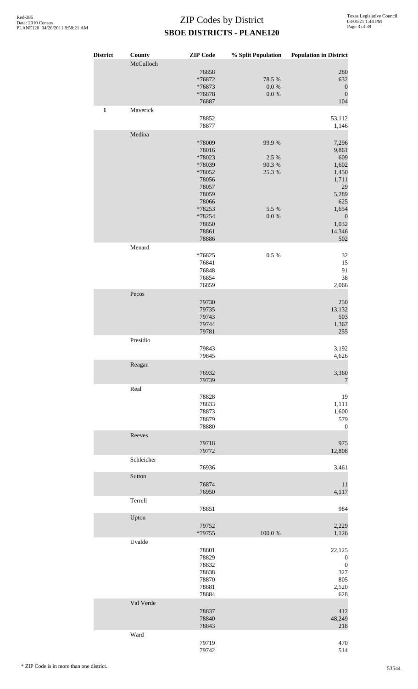| <b>District</b> | County<br>McCulloch | <b>ZIP</b> Code  | % Split Population | <b>Population in District</b> |
|-----------------|---------------------|------------------|--------------------|-------------------------------|
|                 |                     | 76858            |                    | 280                           |
|                 |                     | *76872           | 78.5 %             | 632                           |
|                 |                     | *76873           | $0.0\ \%$          | $\boldsymbol{0}$              |
|                 |                     | *76878<br>76887  | $0.0\ \%$          | $\boldsymbol{0}$<br>104       |
| $\mathbf{1}$    | Maverick            |                  |                    |                               |
|                 |                     | 78852            |                    | 53,112                        |
|                 | Medina              | 78877            |                    | 1,146                         |
|                 |                     | *78009           | 99.9%              | 7,296                         |
|                 |                     | 78016            |                    | 9,861                         |
|                 |                     | *78023<br>*78039 | 2.5 %<br>90.3%     | 609<br>1,602                  |
|                 |                     | *78052           | 25.3 %             | 1,450                         |
|                 |                     | 78056            |                    | 1,711                         |
|                 |                     | 78057            |                    | 29                            |
|                 |                     | 78059            |                    | 5,289                         |
|                 |                     | 78066<br>*78253  | 5.5 %              | 625<br>1,654                  |
|                 |                     | *78254           | 0.0 %              | $\boldsymbol{0}$              |
|                 |                     | 78850            |                    | 1,032                         |
|                 |                     | 78861            |                    | 14,346                        |
|                 | Menard              | 78886            |                    | 502                           |
|                 |                     | *76825           | 0.5 %              | 32                            |
|                 |                     | 76841            |                    | 15                            |
|                 |                     | 76848            |                    | 91                            |
|                 |                     | 76854<br>76859   |                    | 38<br>2,066                   |
|                 | Pecos               |                  |                    |                               |
|                 |                     | 79730            |                    | 250                           |
|                 |                     | 79735            |                    | 13,132                        |
|                 |                     | 79743            |                    | 503                           |
|                 |                     | 79744<br>79781   |                    | 1,367<br>255                  |
|                 | Presidio            |                  |                    |                               |
|                 |                     | 79843            |                    | 3,192                         |
|                 |                     | 79845            |                    | 4,626                         |
|                 | Reagan              |                  |                    |                               |
|                 |                     | 76932<br>79739   |                    | 3,360<br>$\overline{7}$       |
|                 | Real                |                  |                    |                               |
|                 |                     | 78828            |                    | 19                            |
|                 |                     | 78833            |                    | 1,111                         |
|                 |                     | 78873            |                    | 1,600                         |
|                 |                     | 78879<br>78880   |                    | 579<br>$\boldsymbol{0}$       |
|                 | Reeves              |                  |                    |                               |
|                 |                     | 79718            |                    | 975                           |
|                 |                     | 79772            |                    | 12,808                        |
|                 | Schleicher          | 76936            |                    | 3,461                         |
|                 | Sutton              |                  |                    |                               |
|                 |                     | 76874            |                    | 11                            |
|                 |                     | 76950            |                    | 4,117                         |
|                 | Terrell             |                  |                    |                               |
|                 |                     | 78851            |                    | 984                           |
|                 | Upton               | 79752            |                    | 2,229                         |
|                 |                     | *79755           | 100.0%             | 1,126                         |
|                 | Uvalde              |                  |                    |                               |
|                 |                     | 78801            |                    | 22,125                        |
|                 |                     | 78829            |                    | $\boldsymbol{0}$              |
|                 |                     | 78832<br>78838   |                    | $\boldsymbol{0}$<br>327       |
|                 |                     | 78870            |                    | 805                           |
|                 |                     | 78881            |                    | 2,520                         |
|                 |                     | 78884            |                    | 628                           |
|                 | Val Verde           | 78837            |                    |                               |
|                 |                     | 78840            |                    | 412<br>48,249                 |
|                 |                     | 78843            |                    | 218                           |
|                 | Ward                |                  |                    |                               |
|                 |                     | 79719            |                    | 470                           |
|                 |                     | 79742            |                    | 514                           |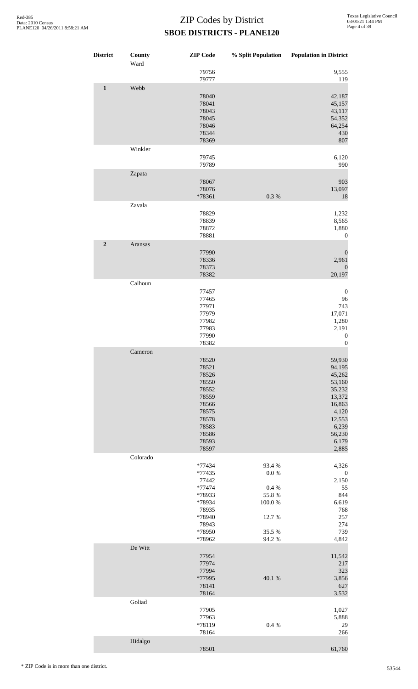| <b>District</b> | County<br>Ward | <b>ZIP</b> Code                                                                                                   | % Split Population                                                      | <b>Population in District</b>                                                                                              |
|-----------------|----------------|-------------------------------------------------------------------------------------------------------------------|-------------------------------------------------------------------------|----------------------------------------------------------------------------------------------------------------------------|
|                 |                | 79756<br>79777                                                                                                    |                                                                         | 9,555<br>119                                                                                                               |
| $\mathbf{1}$    | Webb           | 78040<br>78041<br>78043<br>78045<br>78046<br>78344<br>78369                                                       |                                                                         | 42,187<br>45,157<br>43,117<br>54,352<br>64,254<br>430<br>807                                                               |
|                 | Winkler        | 79745<br>79789                                                                                                    |                                                                         | 6,120<br>990                                                                                                               |
|                 | Zapata         | 78067<br>78076<br>*78361                                                                                          | 0.3%                                                                    | 903<br>13,097<br>18                                                                                                        |
|                 | Zavala         | 78829<br>78839<br>78872<br>78881                                                                                  |                                                                         | 1,232<br>8,565<br>1,880<br>$\boldsymbol{0}$                                                                                |
| $\overline{2}$  | Aransas        | 77990<br>78336<br>78373<br>78382                                                                                  |                                                                         | $\boldsymbol{0}$<br>2,961<br>$\boldsymbol{0}$<br>20,197                                                                    |
|                 | Calhoun        | 77457<br>77465<br>77971<br>77979<br>77982<br>77983<br>77990<br>78382                                              |                                                                         | $\mathbf{0}$<br>96<br>743<br>17,071<br>1,280<br>2,191<br>$\boldsymbol{0}$<br>$\boldsymbol{0}$                              |
|                 | Cameron        | 78520<br>78521<br>78526<br>78550<br>78552<br>78559<br>78566<br>78575<br>78578<br>78583<br>78586<br>78593<br>78597 |                                                                         | 59,930<br>94,195<br>45,262<br>53,160<br>35,232<br>13,372<br>16,863<br>4,120<br>12,553<br>6,239<br>56,230<br>6,179<br>2,885 |
|                 | Colorado       | *77434<br>*77435<br>77442<br>*77474<br>*78933<br>*78934<br>78935<br>*78940<br>78943<br>*78950<br>*78962           | 93.4%<br>0.0 %<br>0.4 %<br>55.8%<br>100.0%<br>12.7%<br>35.5 %<br>94.2 % | 4,326<br>$\boldsymbol{0}$<br>2,150<br>55<br>844<br>6,619<br>768<br>257<br>274<br>739<br>4,842                              |
|                 | De Witt        | 77954<br>77974<br>77994<br>*77995<br>78141<br>78164                                                               | 40.1 %                                                                  | 11,542<br>217<br>323<br>3,856<br>627<br>3,532                                                                              |
|                 | Goliad         | 77905<br>77963<br>*78119<br>78164                                                                                 | 0.4 %                                                                   | 1,027<br>5,888<br>29<br>266                                                                                                |
|                 | Hidalgo        | 78501                                                                                                             |                                                                         | 61,760                                                                                                                     |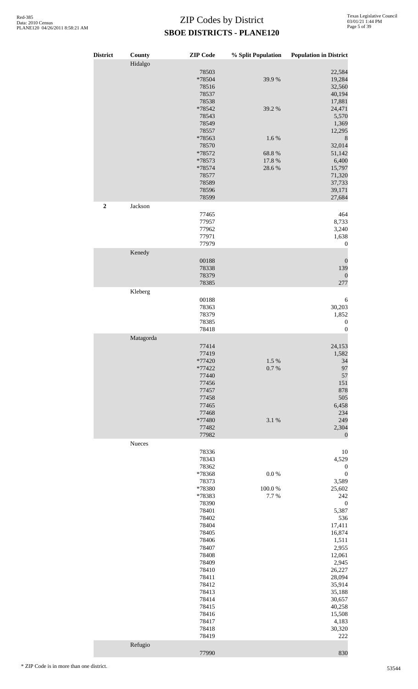| <b>District</b> | County    | <b>ZIP</b> Code                            | % Split Population | <b>Population in District</b>                  |
|-----------------|-----------|--------------------------------------------|--------------------|------------------------------------------------|
|                 | Hidalgo   | 78503<br>*78504<br>78516<br>78537<br>78538 | 39.9%              | 22,584<br>19,284<br>32,560<br>40,194<br>17,881 |
|                 |           | *78542<br>78543<br>78549<br>78557          | 39.2 %             | 24,471<br>5,570<br>1,369<br>12,295             |
|                 |           | *78563<br>78570                            | 1.6%               | $\,$ 8 $\,$<br>32,014                          |
|                 |           | *78572<br>*78573                           | 68.8%<br>17.8 %    | 51,142<br>6,400                                |
|                 |           | $*78574$<br>78577                          | 28.6%              | 15,797<br>71,320                               |
|                 |           | 78589<br>78596                             |                    | 37,733<br>39,171                               |
| $\mathbf 2$     | Jackson   | 78599                                      |                    | 27,684                                         |
|                 |           | 77465<br>77957                             |                    | 464<br>8,733                                   |
|                 |           | 77962                                      |                    | 3,240                                          |
|                 |           | 77971<br>77979                             |                    | 1,638<br>$\boldsymbol{0}$                      |
|                 | Kenedy    | 00188                                      |                    | $\boldsymbol{0}$                               |
|                 |           | 78338<br>78379                             |                    | 139<br>$\boldsymbol{0}$                        |
|                 | Kleberg   | 78385                                      |                    | 277                                            |
|                 |           | 00188                                      |                    | 6                                              |
|                 |           | 78363<br>78379                             |                    | 30,203<br>1,852                                |
|                 |           | 78385<br>78418                             |                    | $\boldsymbol{0}$<br>$\boldsymbol{0}$           |
|                 | Matagorda | 77414                                      |                    | 24,153                                         |
|                 |           | 77419<br>*77420                            | 1.5 %              | 1,582<br>34                                    |
|                 |           | *77422<br>77440                            | 0.7%               | 97<br>57                                       |
|                 |           | 77456<br>77457                             |                    | 151<br>878                                     |
|                 |           | 77458                                      |                    | 505                                            |
|                 |           | 77465<br>77468                             |                    | 6,458<br>234                                   |
|                 |           | *77480<br>77482                            | 3.1 %              | 249<br>2,304                                   |
|                 | Nueces    | 77982                                      |                    | $\boldsymbol{0}$                               |
|                 |           | 78336<br>78343                             |                    | 10<br>4,529                                    |
|                 |           | 78362<br>*78368                            | $0.0\ \%$          | $\boldsymbol{0}$<br>$\boldsymbol{0}$           |
|                 |           | 78373<br>*78380                            | 100.0%             | 3,589<br>25,602                                |
|                 |           | *78383                                     | 7.7%               | 242                                            |
|                 |           | 78390<br>78401                             |                    | $\boldsymbol{0}$<br>5,387                      |
|                 |           | 78402<br>78404                             |                    | 536<br>17,411                                  |
|                 |           | 78405<br>78406                             |                    | 16,874<br>1,511                                |
|                 |           | 78407<br>78408                             |                    | 2,955<br>12,061                                |
|                 |           | 78409<br>78410                             |                    | 2,945<br>26,227                                |
|                 |           | 78411<br>78412                             |                    | 28,094<br>35,914                               |
|                 |           | 78413<br>78414                             |                    | 35,188<br>30,657                               |
|                 |           | 78415                                      |                    | 40,258                                         |
|                 |           | 78416<br>78417                             |                    | 15,508<br>4,183                                |
|                 |           | 78418<br>78419                             |                    | 30,320<br>222                                  |
|                 | Refugio   |                                            |                    |                                                |

830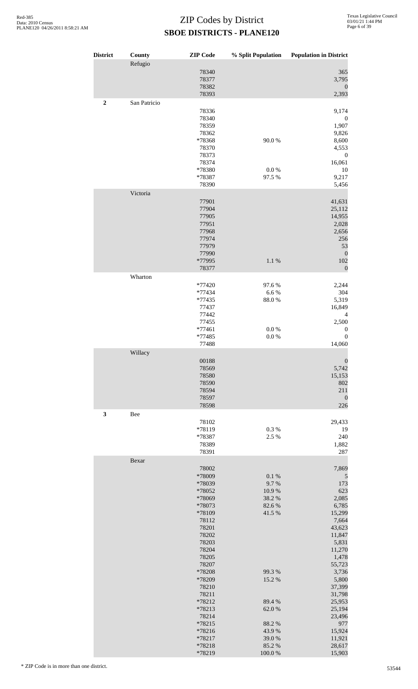| <b>District</b> | County       | <b>ZIP</b> Code  | % Split Population | <b>Population in District</b> |
|-----------------|--------------|------------------|--------------------|-------------------------------|
|                 | Refugio      |                  |                    |                               |
|                 |              | 78340            |                    | 365                           |
|                 |              | 78377<br>78382   |                    | 3,795<br>$\boldsymbol{0}$     |
|                 |              | 78393            |                    | 2,393                         |
| $\mathbf 2$     | San Patricio |                  |                    |                               |
|                 |              | 78336            |                    | 9,174                         |
|                 |              | 78340<br>78359   |                    | $\boldsymbol{0}$<br>1,907     |
|                 |              | 78362            |                    | 9,826                         |
|                 |              | *78368           | 90.0%              | 8,600                         |
|                 |              | 78370            |                    | 4,553                         |
|                 |              | 78373<br>78374   |                    | $\boldsymbol{0}$<br>16,061    |
|                 |              | *78380           | $0.0\ \%$          | 10                            |
|                 |              | *78387           | 97.5 %             | 9,217                         |
|                 | Victoria     | 78390            |                    | 5,456                         |
|                 |              | 77901            |                    | 41,631                        |
|                 |              | 77904            |                    | 25,112                        |
|                 |              | 77905            |                    | 14,955                        |
|                 |              | 77951<br>77968   |                    | 2,028                         |
|                 |              | 77974            |                    | 2,656<br>256                  |
|                 |              | 77979            |                    | 53                            |
|                 |              | 77990            |                    | $\boldsymbol{0}$              |
|                 |              | *77995<br>78377  | 1.1 %              | 102<br>$\boldsymbol{0}$       |
|                 | Wharton      |                  |                    |                               |
|                 |              | *77420           | 97.6%              | 2,244                         |
|                 |              | *77434           | 6.6%               | 304                           |
|                 |              | *77435           | 88.0%              | 5,319                         |
|                 |              | 77437<br>77442   |                    | 16,849<br>$\overline{4}$      |
|                 |              | 77455            |                    | 2,500                         |
|                 |              | $*77461$         | 0.0 %              | $\boldsymbol{0}$              |
|                 |              | *77485<br>77488  | $0.0\ \%$          | $\boldsymbol{0}$<br>14,060    |
|                 | Willacy      |                  |                    |                               |
|                 |              | 00188            |                    | $\boldsymbol{0}$              |
|                 |              | 78569            |                    | 5,742                         |
|                 |              | 78580<br>78590   |                    | 15,153<br>802                 |
|                 |              | 78594            |                    | 211                           |
|                 |              | 78597            |                    | $\boldsymbol{0}$              |
|                 |              | 78598            |                    | 226                           |
| $\mathbf{3}$    | Bee          | 78102            |                    | 29,433                        |
|                 |              | *78119           | 0.3%               | 19                            |
|                 |              | *78387           | 2.5 %              | 240                           |
|                 |              | 78389            |                    | 1,882                         |
|                 | Bexar        | 78391            |                    | 287                           |
|                 |              | 78002            |                    | 7,869                         |
|                 |              | *78009           | 0.1 %              | $\mathfrak{S}$                |
|                 |              | *78039           | 9.7%               | 173                           |
|                 |              | *78052<br>*78069 | 10.9%<br>38.2%     | 623<br>2,085                  |
|                 |              | *78073           | 82.6%              | 6,785                         |
|                 |              | *78109           | 41.5 %             | 15,299                        |
|                 |              | 78112<br>78201   |                    | 7,664<br>43,623               |
|                 |              | 78202            |                    | 11,847                        |
|                 |              | 78203            |                    | 5,831                         |
|                 |              | 78204<br>78205   |                    | 11,270                        |
|                 |              | 78207            |                    | 1,478<br>55,723               |
|                 |              | *78208           | 99.3%              | 3,736                         |
|                 |              | *78209           | 15.2 %             | 5,800                         |
|                 |              | 78210<br>78211   |                    | 37,399<br>31,798              |
|                 |              | *78212           | 89.4%              | 25,953                        |
|                 |              | *78213           | 62.0%              | 25,194                        |
|                 |              | 78214            |                    | 23,496                        |
|                 |              | *78215<br>*78216 | 88.2%<br>43.9%     | 977<br>15,924                 |
|                 |              | *78217           | 39.0%              | 11,921                        |
|                 |              | *78218           | 85.2%              | 28,617                        |
|                 |              | *78219           | 100.0%             | 15,903                        |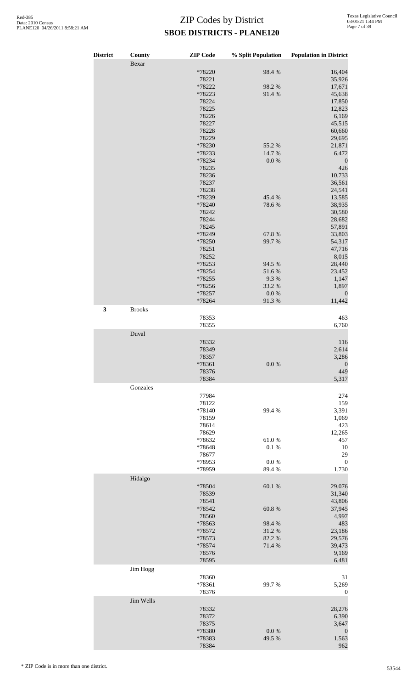| <b>District</b> | County        | <b>ZIP</b> Code  | % Split Population | <b>Population in District</b> |
|-----------------|---------------|------------------|--------------------|-------------------------------|
|                 | Bexar         |                  |                    |                               |
|                 |               | *78220           | 98.4%              | 16,404                        |
|                 |               | 78221            |                    | 35,926                        |
|                 |               | *78222           | 98.2%              | 17,671                        |
|                 |               | *78223           | 91.4%              | 45,638                        |
|                 |               | 78224            |                    | 17,850                        |
|                 |               | 78225            |                    | 12,823                        |
|                 |               | 78226            |                    | 6,169                         |
|                 |               | 78227            |                    | 45,515                        |
|                 |               | 78228            |                    | 60,660                        |
|                 |               | 78229            |                    | 29,695                        |
|                 |               | *78230           | 55.2 %             | 21,871                        |
|                 |               | *78233           | 14.7 %             | 6,472                         |
|                 |               | *78234           | $0.0\ \%$          | $\boldsymbol{0}$              |
|                 |               | 78235<br>78236   |                    | 426                           |
|                 |               | 78237            |                    | 10,733<br>36,561              |
|                 |               | 78238            |                    | 24,541                        |
|                 |               | *78239           | 45.4%              | 13,585                        |
|                 |               | *78240           | 78.6%              | 38,935                        |
|                 |               | 78242            |                    | 30,580                        |
|                 |               | 78244            |                    | 28,682                        |
|                 |               | 78245            |                    | 57,891                        |
|                 |               | *78249           | 67.8%              | 33,803                        |
|                 |               | *78250           | 99.7%              | 54,317                        |
|                 |               | 78251            |                    | 47,716                        |
|                 |               | 78252            |                    | 8,015                         |
|                 |               | *78253           | 94.5 %             | 28,440                        |
|                 |               | *78254           | 51.6%              | 23,452                        |
|                 |               | *78255           | 9.3%               | 1,147                         |
|                 |               | *78256           | 33.2 %             | 1,897                         |
|                 |               | *78257           | $0.0\ \%$          | $\boldsymbol{0}$              |
|                 |               | *78264           | 91.3%              | 11,442                        |
| $\mathbf{3}$    | <b>Brooks</b> |                  |                    |                               |
|                 |               | 78353            |                    | 463                           |
|                 |               | 78355            |                    | 6,760                         |
|                 |               |                  |                    |                               |
|                 | Duval         |                  |                    |                               |
|                 |               | 78332            |                    | 116                           |
|                 |               | 78349            |                    | 2,614                         |
|                 |               | 78357            |                    | 3,286                         |
|                 |               | *78361           | 0.0 %              | $\boldsymbol{0}$              |
|                 |               | 78376            |                    | 449                           |
|                 |               | 78384            |                    | 5,317                         |
|                 | Gonzales      |                  |                    |                               |
|                 |               | 77984            |                    | 274                           |
|                 |               | 78122<br>*78140  |                    | 159<br>3,391                  |
|                 |               |                  | 99.4 %             |                               |
|                 |               | 78159            |                    | 1,069<br>423                  |
|                 |               | 78614<br>78629   |                    | 12,265                        |
|                 |               | *78632           | 61.0%              | 457                           |
|                 |               | *78648           | 0.1 %              | 10                            |
|                 |               | 78677            |                    | 29                            |
|                 |               |                  |                    | $\boldsymbol{0}$              |
|                 |               | *78953<br>*78959 | 0.0 %<br>89.4%     | 1,730                         |
|                 | Hidalgo       |                  |                    |                               |
|                 |               | *78504           | 60.1%              | 29,076                        |
|                 |               |                  |                    |                               |
|                 |               | 78539            |                    | 31,340                        |
|                 |               | 78541<br>*78542  | 60.8%              | 43,806<br>37,945              |
|                 |               | 78560            |                    | 4,997                         |
|                 |               | *78563           | 98.4%              | 483                           |
|                 |               | *78572           | 31.2%              | 23,186                        |
|                 |               | *78573           | 82.2%              | 29,576                        |
|                 |               | *78574           | 71.4 %             | 39,473                        |
|                 |               | 78576            |                    | 9,169                         |
|                 |               | 78595            |                    | 6,481                         |
|                 | Jim Hogg      |                  |                    |                               |
|                 |               | 78360            |                    | 31                            |
|                 |               | *78361           | 99.7%              | 5,269                         |
|                 |               | 78376            |                    | $\boldsymbol{0}$              |
|                 | Jim Wells     |                  |                    |                               |
|                 |               | 78332            |                    | 28,276                        |
|                 |               | 78372            |                    | 6,390                         |
|                 |               | 78375            |                    | 3,647                         |
|                 |               | *78380           | 0.0 %              | $\boldsymbol{0}$              |
|                 |               | *78383           | 49.5 %             | 1,563                         |
|                 |               | 78384            |                    | 962                           |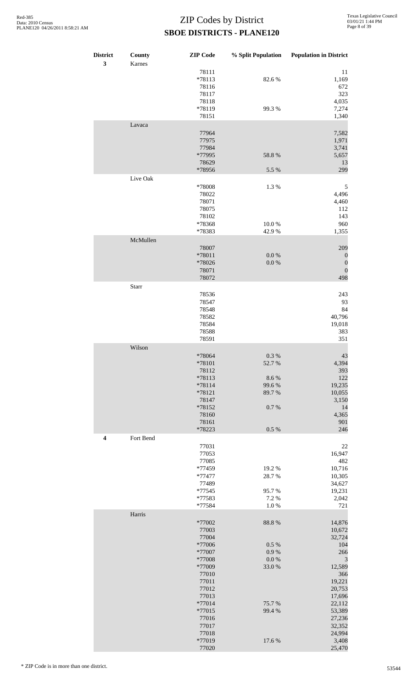| <b>District</b><br>3 | County<br>Karnes | <b>ZIP</b> Code                                                                                                            | % Split Population                                               | <b>Population in District</b>                                                                                                 |
|----------------------|------------------|----------------------------------------------------------------------------------------------------------------------------|------------------------------------------------------------------|-------------------------------------------------------------------------------------------------------------------------------|
|                      |                  | 78111<br>*78113<br>78116<br>78117<br>78118                                                                                 | 82.6%                                                            | 11<br>1,169<br>672<br>323<br>4,035                                                                                            |
|                      |                  | *78119<br>78151                                                                                                            | 99.3%                                                            | 7,274<br>1,340                                                                                                                |
|                      | Lavaca           | 77964<br>77975<br>77984<br>*77995                                                                                          | 58.8 %                                                           | 7,582<br>1,971<br>3,741<br>5,657                                                                                              |
|                      |                  | 78629<br>*78956                                                                                                            | 5.5 %                                                            | 13<br>299                                                                                                                     |
|                      | Live Oak         | *78008<br>78022<br>78071<br>78075<br>78102                                                                                 | 1.3%                                                             | 5<br>4,496<br>4,460<br>112<br>143                                                                                             |
|                      |                  | *78368<br>*78383                                                                                                           | 10.0%<br>42.9%                                                   | 960<br>1,355                                                                                                                  |
|                      | McMullen         | 78007<br>*78011<br>*78026<br>78071<br>78072                                                                                | $0.0\ \%$<br>$0.0\ \%$                                           | 209<br>$\boldsymbol{0}$<br>$\boldsymbol{0}$<br>$\boldsymbol{0}$<br>498                                                        |
|                      | Starr            |                                                                                                                            |                                                                  |                                                                                                                               |
|                      |                  | 78536<br>78547<br>78548<br>78582<br>78584<br>78588<br>78591                                                                |                                                                  | 243<br>93<br>84<br>40,796<br>19,018<br>383<br>351                                                                             |
|                      | Wilson           | *78064<br>*78101<br>78112<br>*78113<br>*78114<br>*78121<br>78147<br>*78152<br>78160<br>78161                               | $0.3~\%$<br>52.7%<br>8.6%<br>99.6%<br>89.7%<br>$0.7~\%$          | 43<br>4,394<br>393<br>122<br>19,235<br>10,055<br>3,150<br>14<br>4,365<br>901                                                  |
|                      |                  | *78223                                                                                                                     | $0.5~\%$                                                         | 246                                                                                                                           |
| $\boldsymbol{4}$     | Fort Bend        | 77031<br>77053<br>77085<br>*77459<br>*77477<br>77489<br>$*77545$<br>*77583<br>*77584                                       | 19.2%<br>28.7%<br>95.7%<br>7.2 %<br>$1.0\ \%$                    | $22\,$<br>16,947<br>482<br>10,716<br>10,305<br>34,627<br>19,231<br>2,042<br>721                                               |
|                      | Harris           |                                                                                                                            |                                                                  |                                                                                                                               |
|                      |                  | *77002<br>77003<br>77004<br>*77006<br>*77007<br>*77008<br>*77009<br>77010<br>77011<br>77012<br>77013<br>$*77014$<br>*77015 | 88.8 %<br>0.5 %<br>0.9 %<br>$0.0\ \%$<br>33.0%<br>75.7%<br>99.4% | 14,876<br>10,672<br>32,724<br>104<br>266<br>$\mathfrak{Z}$<br>12,589<br>366<br>19,221<br>20,753<br>17,696<br>22,112<br>53,389 |
|                      |                  | 77016<br>77017<br>77018<br>*77019<br>77020                                                                                 | 17.6 %                                                           | 27,236<br>32,352<br>24,994<br>3,408<br>25,470                                                                                 |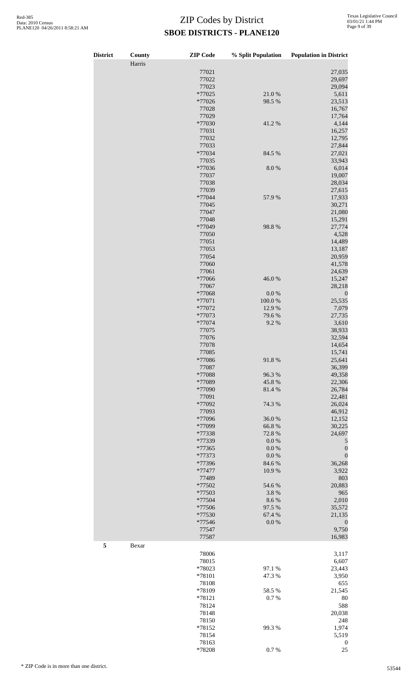| <b>District</b> | County | <b>ZIP</b> Code  | % Split Population | <b>Population in District</b> |
|-----------------|--------|------------------|--------------------|-------------------------------|
|                 | Harris |                  |                    |                               |
|                 |        | 77021            |                    | 27,035                        |
|                 |        | 77022<br>77023   |                    | 29,697<br>29,094              |
|                 |        | $*77025$         | 21.0%              | 5,611                         |
|                 |        | *77026           | 98.5 %             | 23,513                        |
|                 |        | 77028            |                    | 16,767                        |
|                 |        | 77029            |                    | 17,764                        |
|                 |        | *77030           | 41.2%              | 4,144                         |
|                 |        | 77031            |                    | 16,257                        |
|                 |        | 77032            |                    | 12,795                        |
|                 |        | 77033            |                    | 27,844                        |
|                 |        | *77034<br>77035  | 84.5 %             | 27,021<br>33,943              |
|                 |        | *77036           | $8.0\ \%$          | 6,014                         |
|                 |        | 77037            |                    | 19,007                        |
|                 |        | 77038            |                    | 28,034                        |
|                 |        | 77039            |                    | 27,615                        |
|                 |        | *77044           | 57.9%              | 17,933                        |
|                 |        | 77045            |                    | 30,271                        |
|                 |        | 77047            |                    | 21,080                        |
|                 |        | 77048            |                    | 15,291                        |
|                 |        | *77049           | 98.8%              | 27,774                        |
|                 |        | 77050<br>77051   |                    | 4,528<br>14,489               |
|                 |        | 77053            |                    | 13,187                        |
|                 |        | 77054            |                    | 20,959                        |
|                 |        | 77060            |                    | 41,578                        |
|                 |        | 77061            |                    | 24,639                        |
|                 |        | *77066           | 46.0%              | 15,247                        |
|                 |        | 77067            |                    | 28,218                        |
|                 |        | *77068           | $0.0\ \%$          | $\boldsymbol{0}$              |
|                 |        | *77071           | 100.0%             | 25,535                        |
|                 |        | *77072<br>*77073 | 12.9%<br>79.6%     | 7,079                         |
|                 |        | *77074           | 9.2%               | 27,735<br>3,610               |
|                 |        | 77075            |                    | 38,933                        |
|                 |        | 77076            |                    | 32,594                        |
|                 |        | 77078            |                    | 14,654                        |
|                 |        | 77085            |                    | 15,741                        |
|                 |        | *77086           | 91.8%              | 25,641                        |
|                 |        | 77087            |                    | 36,399                        |
|                 |        | *77088           | 96.3%              | 49,358                        |
|                 |        | *77089           | 45.8%              | 22,306                        |
|                 |        | *77090<br>77091  | 81.4%              | 26,784<br>22,481              |
|                 |        | *77092           | 74.3 %             | 26,024                        |
|                 |        | 77093            |                    | 46,912                        |
|                 |        | *77096           | 36.0%              | 12,152                        |
|                 |        | *77099           | 66.8%              | 30,225                        |
|                 |        | *77338           | 72.8 %             | 24,697                        |
|                 |        | *77339           | $0.0\ \%$          | 5                             |
|                 |        | *77365           | $0.0\ \%$          | $\boldsymbol{0}$              |
|                 |        | *77373           | 0.0 %              | $\boldsymbol{0}$              |
|                 |        | *77396           | 84.6 %             | 36,268                        |
|                 |        | *77477<br>77489  | 10.9%              | 3,922<br>803                  |
|                 |        | *77502           | 54.6 %             | 20,883                        |
|                 |        | *77503           | 3.8 %              | 965                           |
|                 |        | *77504           | 8.6%               | 2,010                         |
|                 |        | *77506           | 97.5 %             | 35,572                        |
|                 |        | *77530           | 67.4 %             | 21,135                        |
|                 |        | *77546           | 0.0 %              | $\boldsymbol{0}$              |
|                 |        | 77547            |                    | 9,750                         |
|                 |        | 77587            |                    | 16,983                        |
| 5               | Bexar  |                  |                    |                               |
|                 |        | 78006            |                    | 3,117                         |
|                 |        | 78015            |                    | 6,607                         |
|                 |        | *78023           | 97.1 %             | 23,443                        |
|                 |        | *78101<br>78108  | 47.3 %             | 3,950<br>655                  |
|                 |        | *78109           | 58.5 %             | 21,545                        |
|                 |        | *78121           | 0.7%               | 80                            |
|                 |        | 78124            |                    | 588                           |
|                 |        | 78148            |                    | 20,038                        |
|                 |        | 78150            |                    | 248                           |
|                 |        | *78152           | 99.3%              | 1,974                         |
|                 |        | 78154            |                    | 5,519                         |
|                 |        | 78163            |                    | $\boldsymbol{0}$              |

\*78208 0.7 % 25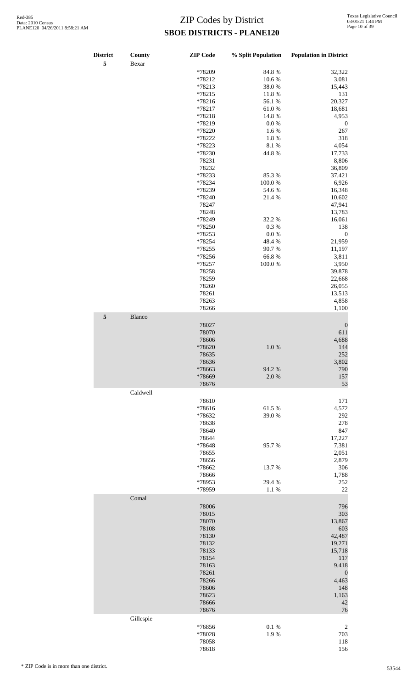| <b>District</b><br>5 | County<br>Bexar | <b>ZIP</b> Code | % Split Population | <b>Population in District</b> |
|----------------------|-----------------|-----------------|--------------------|-------------------------------|
|                      |                 | *78209          | 84.8%              | 32,322                        |
|                      |                 |                 |                    |                               |
|                      |                 | *78212          | 10.6%              | 3,081                         |
|                      |                 | *78213          | 38.0%              | 15,443                        |
|                      |                 | *78215          | 11.8 %             | 131                           |
|                      |                 | *78216          | 56.1 %             | 20,327                        |
|                      |                 | *78217          | 61.0%              | 18,681                        |
|                      |                 | *78218          | 14.8 %             | 4,953                         |
|                      |                 | *78219          | $0.0\ \%$          | $\boldsymbol{0}$              |
|                      |                 | *78220          | 1.6%               | 267                           |
|                      |                 | *78222          | 1.8%               | 318                           |
|                      |                 | *78223          | 8.1 %              | 4,054                         |
|                      |                 |                 |                    |                               |
|                      |                 | *78230          | 44.8%              | 17,733                        |
|                      |                 | 78231           |                    | 8,806                         |
|                      |                 | 78232           |                    | 36,809                        |
|                      |                 | *78233          | 85.3%              | 37,421                        |
|                      |                 | *78234          | $100.0~\%$         | 6,926                         |
|                      |                 | *78239          | 54.6%              | 16,348                        |
|                      |                 | *78240          | 21.4%              | 10,602                        |
|                      |                 | 78247           |                    | 47,941                        |
|                      |                 | 78248           |                    | 13,783                        |
|                      |                 | *78249          | 32.2 %             | 16,061                        |
|                      |                 | *78250          | $0.3~\%$           | 138                           |
|                      |                 | *78253          |                    |                               |
|                      |                 |                 | $0.0\ \%$          | $\boldsymbol{0}$              |
|                      |                 | *78254          | 48.4%              | 21,959                        |
|                      |                 | *78255          | 90.7%              | 11,197                        |
|                      |                 | *78256          | 66.8%              | 3,811                         |
|                      |                 | *78257          | $100.0~\%$         | 3,950                         |
|                      |                 | 78258           |                    | 39,878                        |
|                      |                 | 78259           |                    | 22,668                        |
|                      |                 | 78260           |                    | 26,055                        |
|                      |                 | 78261           |                    | 13,513                        |
|                      |                 |                 |                    |                               |
|                      |                 | 78263           |                    | 4,858                         |
|                      |                 | 78266           |                    | 1,100                         |
| $\sqrt{5}$           | Blanco          |                 |                    |                               |
|                      |                 | 78027           |                    | $\boldsymbol{0}$              |
|                      |                 | 78070           |                    | 611                           |
|                      |                 | 78606           |                    | 4,688                         |
|                      |                 | *78620          | $1.0\ \%$          | 144                           |
|                      |                 | 78635           |                    | 252                           |
|                      |                 |                 |                    |                               |
|                      |                 | 78636           |                    | 3,802                         |
|                      |                 | *78663          | 94.2 %             | 790                           |
|                      |                 | *78669          | $2.0\ \%$          | 157                           |
|                      |                 | 78676           |                    | 53                            |
|                      | Caldwell        |                 |                    |                               |
|                      |                 | 78610           |                    | 171                           |
|                      |                 | *78616          | 61.5%              | 4,572                         |
|                      |                 | *78632          | 39.0%              | 292                           |
|                      |                 | 78638           |                    | 278                           |
|                      |                 |                 |                    |                               |
|                      |                 | 78640           |                    | 847                           |
|                      |                 | 78644           |                    | 17,227                        |
|                      |                 | *78648          | 95.7%              | 7,381                         |
|                      |                 | 78655           |                    | 2,051                         |
|                      |                 | 78656           |                    | 2,879                         |
|                      |                 | *78662          | 13.7%              | 306                           |
|                      |                 | 78666           |                    | 1,788                         |
|                      |                 | *78953          | 29.4 %             | 252                           |
|                      |                 | *78959          | 1.1 %              | 22                            |
|                      | Comal           |                 |                    |                               |
|                      |                 |                 |                    |                               |
|                      |                 | 78006           |                    | 796                           |
|                      |                 | 78015           |                    | 303                           |
|                      |                 | 78070           |                    | 13,867                        |
|                      |                 | 78108           |                    | 603                           |
|                      |                 | 78130           |                    | 42,487                        |
|                      |                 | 78132           |                    | 19,271                        |
|                      |                 | 78133           |                    | 15,718                        |
|                      |                 | 78154           |                    | 117                           |
|                      |                 | 78163           |                    | 9,418                         |
|                      |                 |                 |                    |                               |
|                      |                 | 78261           |                    | $\boldsymbol{0}$              |
|                      |                 | 78266           |                    | 4,463                         |
|                      |                 | 78606           |                    | 148                           |
|                      |                 | 78623           |                    | 1,163                         |
|                      |                 | 78666           |                    | 42                            |
|                      |                 | 78676           |                    | 76                            |
|                      | Gillespie       |                 |                    |                               |
|                      |                 |                 |                    |                               |
|                      |                 | *76856          | $0.1~\%$           | $\overline{c}$                |
|                      |                 | *78028          | 1.9%               | 703                           |
|                      |                 | 78058           |                    | 118                           |
|                      |                 | 78618           |                    | 156                           |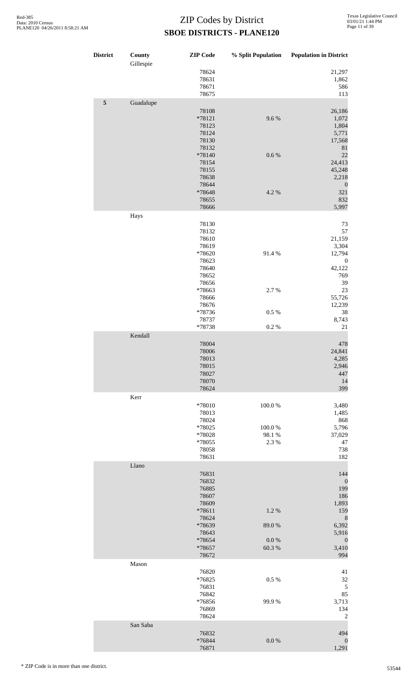| <b>District</b> | County<br>Gillespie | <b>ZIP</b> Code | % Split Population | <b>Population in District</b> |
|-----------------|---------------------|-----------------|--------------------|-------------------------------|
|                 |                     | 78624           |                    | 21,297                        |
|                 |                     | 78631           |                    | 1,862                         |
|                 |                     | 78671           |                    | 586                           |
|                 |                     | 78675           |                    | 113                           |
| $\sqrt{5}$      | Guadalupe           |                 |                    |                               |
|                 |                     | 78108           |                    | 26,186                        |
|                 |                     | $*78121$        | 9.6%               | 1,072                         |
|                 |                     | 78123<br>78124  |                    | 1,804<br>5,771                |
|                 |                     | 78130           |                    | 17,568                        |
|                 |                     | 78132           |                    | $81\,$                        |
|                 |                     | *78140          | 0.6 %              | 22                            |
|                 |                     | 78154           |                    | 24,413                        |
|                 |                     | 78155           |                    | 45,248                        |
|                 |                     | 78638           |                    | 2,218                         |
|                 |                     | 78644           |                    | $\boldsymbol{0}$              |
|                 |                     | *78648          | 4.2 %              | 321                           |
|                 |                     | 78655           |                    | 832                           |
|                 |                     | 78666           |                    | 5,997                         |
|                 | Hays                |                 |                    |                               |
|                 |                     | 78130           |                    | 73                            |
|                 |                     | 78132           |                    | 57                            |
|                 |                     | 78610           |                    | 21,159                        |
|                 |                     | 78619           |                    | 3,304                         |
|                 |                     | *78620          | 91.4%              | 12,794                        |
|                 |                     | 78623<br>78640  |                    | $\boldsymbol{0}$<br>42,122    |
|                 |                     | 78652           |                    | 769                           |
|                 |                     | 78656           |                    | 39                            |
|                 |                     | *78663          | 2.7 %              | 23                            |
|                 |                     | 78666           |                    | 55,726                        |
|                 |                     | 78676           |                    | 12,239                        |
|                 |                     | *78736          | $0.5\ \%$          | 38                            |
|                 |                     | 78737           |                    | 8,743                         |
|                 |                     | *78738          | 0.2 %              | 21                            |
|                 | Kendall             |                 |                    |                               |
|                 |                     | 78004           |                    | 478                           |
|                 |                     | 78006           |                    | 24,841                        |
|                 |                     | 78013           |                    | 4,285                         |
|                 |                     | 78015           |                    | 2,946                         |
|                 |                     | 78027           |                    | 447                           |
|                 |                     | 78070<br>78624  |                    | 14<br>399                     |
|                 |                     |                 |                    |                               |
|                 | Kerr                |                 |                    |                               |
|                 |                     | *78010<br>78013 | 100.0%             | 3,480<br>1,485                |
|                 |                     | 78024           |                    | 868                           |
|                 |                     | *78025          | 100.0%             | 5,796                         |
|                 |                     | *78028          | 98.1 %             | 37,029                        |
|                 |                     | *78055          | 2.3 %              | 47                            |
|                 |                     | 78058           |                    | 738                           |
|                 |                     | 78631           |                    | 182                           |
|                 | Llano               |                 |                    |                               |
|                 |                     | 76831           |                    | 144                           |
|                 |                     | 76832           |                    | $\boldsymbol{0}$              |
|                 |                     | 76885           |                    | 199                           |
|                 |                     | 78607           |                    | 186                           |
|                 |                     | 78609           |                    | 1,893                         |
|                 |                     | *78611          | 1.2%               | 159                           |
|                 |                     | 78624           |                    | $\,$ 8 $\,$<br>6,392          |
|                 |                     | *78639<br>78643 | 89.0%              | 5,916                         |
|                 |                     | *78654          | 0.0 %              | $\boldsymbol{0}$              |
|                 |                     | *78657          | 60.3%              | 3,410                         |
|                 |                     | 78672           |                    | 994                           |
|                 | Mason               |                 |                    |                               |
|                 |                     | 76820           |                    | 41                            |
|                 |                     | *76825          | 0.5 %              | 32                            |
|                 |                     | 76831           |                    | $\sqrt{5}$                    |
|                 |                     | 76842           |                    | 85                            |
|                 |                     | *76856          | 99.9%              | 3,713                         |
|                 |                     | 76869           |                    | 134                           |
|                 |                     | 78624           |                    | $\overline{c}$                |
|                 | San Saba            |                 |                    |                               |
|                 |                     | 76832           |                    | 494                           |
|                 |                     | *76844          | $0.0\ \%$          | $\boldsymbol{0}$<br>1,291     |
|                 |                     | 76871           |                    |                               |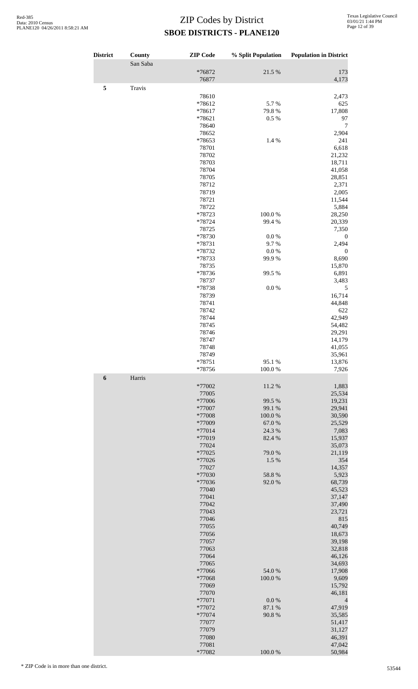| <b>District</b>  | County   | <b>ZIP</b> Code  | % Split Population | <b>Population in District</b> |
|------------------|----------|------------------|--------------------|-------------------------------|
|                  | San Saba |                  |                    |                               |
|                  |          | *76872<br>76877  | 21.5 %             | 173<br>4,173                  |
| 5                | Travis   |                  |                    |                               |
|                  |          | 78610            |                    | 2,473                         |
|                  |          | *78612           | 5.7%               | 625                           |
|                  |          | *78617           | 79.8%              | 17,808                        |
|                  |          | *78621<br>78640  | 0.5 %              | 97<br>7                       |
|                  |          | 78652            |                    | 2,904                         |
|                  |          | *78653           | 1.4 %              | 241                           |
|                  |          | 78701            |                    | 6,618                         |
|                  |          | 78702<br>78703   |                    | 21,232<br>18,711              |
|                  |          | 78704            |                    | 41,058                        |
|                  |          | 78705            |                    | 28,851                        |
|                  |          | 78712            |                    | 2,371                         |
|                  |          | 78719<br>78721   |                    | 2,005<br>11,544               |
|                  |          | 78722            |                    | 5,884                         |
|                  |          | *78723           | 100.0%             | 28,250                        |
|                  |          | *78724           | 99.4 %             | 20,339                        |
|                  |          | 78725<br>*78730  | 0.0 %              | 7,350<br>$\boldsymbol{0}$     |
|                  |          | *78731           | 9.7%               | 2,494                         |
|                  |          | *78732           | $0.0\%$            | $\boldsymbol{0}$              |
|                  |          | *78733           | 99.9%              | 8,690                         |
|                  |          | 78735<br>*78736  | 99.5 %             | 15,870<br>6,891               |
|                  |          | 78737            |                    | 3,483                         |
|                  |          | *78738           | $0.0\ \%$          | 5                             |
|                  |          | 78739            |                    | 16,714                        |
|                  |          | 78741<br>78742   |                    | 44,848<br>622                 |
|                  |          | 78744            |                    | 42,949                        |
|                  |          | 78745            |                    | 54,482                        |
|                  |          | 78746            |                    | 29,291                        |
|                  |          | 78747<br>78748   |                    | 14,179<br>41,055              |
|                  |          | 78749            |                    | 35,961                        |
|                  |          | $*78751$         | 95.1 %             | 13,876                        |
|                  |          | *78756           | 100.0%             | 7,926                         |
| $\boldsymbol{6}$ | Harris   | *77002           | 11.2%              | 1,883                         |
|                  |          | 77005            |                    | 25,534                        |
|                  |          | *77006           | 99.5 %             | 19,231                        |
|                  |          | *77007           | 99.1 %             | 29,941                        |
|                  |          | *77008<br>*77009 | 100.0%<br>67.0%    | 30,590<br>25,529              |
|                  |          | *77014           | 24.3 %             | 7,083                         |
|                  |          | *77019           | 82.4 %             | 15,937                        |
|                  |          | 77024<br>*77025  |                    | 35,073                        |
|                  |          | *77026           | 79.0%<br>1.5 %     | 21,119<br>354                 |
|                  |          | 77027            |                    | 14,357                        |
|                  |          | *77030           | 58.8 %             | 5,923                         |
|                  |          | *77036<br>77040  | 92.0%              | 68,739                        |
|                  |          | 77041            |                    | 45,523<br>37,147              |
|                  |          | 77042            |                    | 37,490                        |
|                  |          | 77043            |                    | 23,721                        |
|                  |          | 77046<br>77055   |                    | 815<br>40,749                 |
|                  |          | 77056            |                    | 18,673                        |
|                  |          | 77057            |                    | 39,198                        |
|                  |          | 77063            |                    | 32,818                        |
|                  |          | 77064<br>77065   |                    | 46,126<br>34,693              |
|                  |          | *77066           | 54.0 %             | 17,908                        |
|                  |          | *77068           | 100.0%             | 9,609                         |
|                  |          | 77069            |                    | 15,792                        |
|                  |          | 77070<br>*77071  | $0.0\ \%$          | 46,181                        |
|                  |          | *77072           | 87.1 %             | 4<br>47,919                   |
|                  |          | *77074           | 90.8%              | 35,585                        |
|                  |          | 77077            |                    | 51,417                        |
|                  |          | 77079<br>77080   |                    | 31,127<br>46,391              |
|                  |          | 77081            |                    | 47,042                        |
|                  |          | *77082           | 100.0%             | 50,984                        |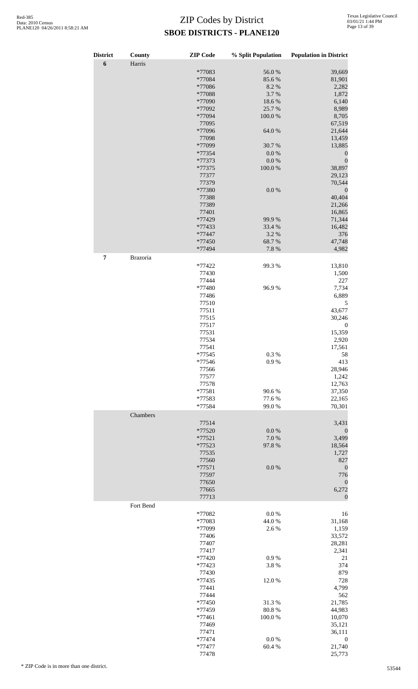| <b>District</b>  | County    | <b>ZIP</b> Code  | % Split Population | <b>Population in District</b> |
|------------------|-----------|------------------|--------------------|-------------------------------|
| $\boldsymbol{6}$ | Harris    |                  |                    |                               |
|                  |           | *77083           | 56.0%              | 39,669                        |
|                  |           | *77084           | 85.6%              | 81,901                        |
|                  |           | *77086           | 8.2 %              | 2,282                         |
|                  |           | *77088           | 3.7%               | 1,872                         |
|                  |           | *77090           | 18.6%              | 6,140                         |
|                  |           | *77092           | 25.7%              | 8,989                         |
|                  |           | *77094           | 100.0%             | 8,705                         |
|                  |           | 77095            |                    | 67,519                        |
|                  |           | *77096           | 64.0%              | 21,644                        |
|                  |           | 77098            |                    | 13,459                        |
|                  |           | *77099           | 30.7 %             | 13,885                        |
|                  |           | *77354           | 0.0 %              | $\boldsymbol{0}$              |
|                  |           | *77373           | 0.0 %              | $\boldsymbol{0}$              |
|                  |           | $*77375$         | 100.0%             | 38,897                        |
|                  |           | 77377            |                    | 29,123                        |
|                  |           | 77379<br>*77380  | 0.0 %              | 70,544<br>$\boldsymbol{0}$    |
|                  |           | 77388            |                    | 40,404                        |
|                  |           | 77389            |                    | 21,266                        |
|                  |           | 77401            |                    | 16,865                        |
|                  |           | *77429           | 99.9%              | 71,344                        |
|                  |           | *77433           | 33.4 %             | 16,482                        |
|                  |           | *77447           | 3.2 %              | 376                           |
|                  |           | *77450           | 68.7%              | 47,748                        |
|                  |           | *77494           | 7.8 %              | 4,982                         |
| $\pmb{7}$        | Brazoria  |                  |                    |                               |
|                  |           | *77422           | 99.3%              | 13,810                        |
|                  |           | 77430            |                    | 1,500                         |
|                  |           | 77444            |                    | 227                           |
|                  |           | *77480           | 96.9%              | 7,734                         |
|                  |           | 77486            |                    | 6,889                         |
|                  |           | 77510            |                    | 5                             |
|                  |           | 77511            |                    | 43,677                        |
|                  |           | 77515            |                    | 30,246                        |
|                  |           | 77517            |                    | $\boldsymbol{0}$              |
|                  |           | 77531            |                    | 15,359                        |
|                  |           | 77534            |                    | 2,920                         |
|                  |           | 77541            |                    | 17,561                        |
|                  |           | $*77545$         | $0.3~\%$           | 58                            |
|                  |           | *77546           | 0.9%               | 413                           |
|                  |           | 77566            |                    | 28,946                        |
|                  |           | 77577            |                    | 1,242                         |
|                  |           | 77578            |                    | 12,763                        |
|                  |           | *77581           | 90.6%              | 37,350                        |
|                  |           | *77583<br>*77584 | 77.6%<br>99.0%     | 22,165<br>70,301              |
|                  | Chambers  |                  |                    |                               |
|                  |           | 77514            |                    | 3,431                         |
|                  |           | *77520           | $0.0\ \%$          |                               |
|                  |           | $*77521$         | $7.0\ \%$          | $\mathbf{0}$<br>3,499         |
|                  |           | *77523           | 97.8 %             | 18,564                        |
|                  |           | 77535            |                    | 1,727                         |
|                  |           | 77560            |                    | 827                           |
|                  |           | *77571           | $0.0\ \%$          | $\boldsymbol{0}$              |
|                  |           | 77597            |                    | 776                           |
|                  |           | 77650            |                    | $\mathbf{0}$                  |
|                  |           | 77665            |                    | 6,272                         |
|                  |           | 77713            |                    | $\overline{0}$                |
|                  | Fort Bend |                  |                    |                               |
|                  |           | *77082           | 0.0 %              | 16                            |
|                  |           | *77083           | 44.0%              | 31,168                        |
|                  |           | *77099           | 2.6%               | 1,159                         |
|                  |           | 77406            |                    | 33,572                        |
|                  |           | 77407            |                    | 28,281                        |
|                  |           | 77417            |                    | 2,341                         |
|                  |           | *77420           | 0.9%               | 21<br>374                     |
|                  |           | *77423<br>77430  | 3.8%               | 879                           |
|                  |           | *77435           | 12.0%              | 728                           |
|                  |           | 77441            |                    | 4,799                         |
|                  |           | 77444            |                    | 562                           |
|                  |           | *77450           | 31.3%              | 21,785                        |
|                  |           | *77459           | 80.8%              | 44,983                        |
|                  |           | $*77461$         | $100.0~\%$         | 10,070                        |
|                  |           | 77469            |                    | 35,121                        |
|                  |           | 77471            |                    | 36,111                        |
|                  |           | *77474           | $0.0\ \%$          | $\boldsymbol{0}$              |
|                  |           | *77477           | 60.4%              | 21,740                        |
|                  |           | 77478            |                    | 25,773                        |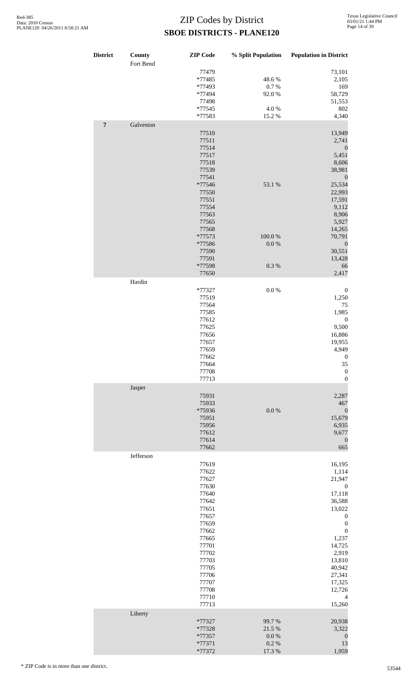| <b>District</b> | County    | <b>ZIP</b> Code  | % Split Population    | <b>Population in District</b>        |
|-----------------|-----------|------------------|-----------------------|--------------------------------------|
|                 | Fort Bend |                  |                       |                                      |
|                 |           | 77479            |                       | 73,101                               |
|                 |           | *77485           | 48.6%<br>0.7 %        | 2,105                                |
|                 |           | *77493<br>*77494 | 92.0%                 | 169<br>58,729                        |
|                 |           | 77498            |                       | 51,553                               |
|                 |           | *77545           | 4.0%                  | 802                                  |
|                 |           | *77583           | 15.2%                 | 4,340                                |
| $\overline{7}$  | Galveston | 77510            |                       | 13,949                               |
|                 |           | 77511            |                       | 2,741                                |
|                 |           | 77514            |                       | $\boldsymbol{0}$                     |
|                 |           | 77517            |                       | 5,451                                |
|                 |           | 77518            |                       | 8,606                                |
|                 |           | 77539<br>77541   |                       | 38,981<br>$\boldsymbol{0}$           |
|                 |           | *77546           | 53.1 %                | 25,534                               |
|                 |           | 77550            |                       | 22,993                               |
|                 |           | 77551            |                       | 17,591                               |
|                 |           | 77554            |                       | 9,112                                |
|                 |           | 77563<br>77565   |                       | 8,906<br>5,927                       |
|                 |           | 77568            |                       | 14,265                               |
|                 |           | *77573           | 100.0%                | 70,791                               |
|                 |           | *77586           | 0.0 %                 | $\boldsymbol{0}$                     |
|                 |           | 77590            |                       | 30,551                               |
|                 |           | 77591            |                       | 13,428                               |
|                 |           | *77598           | $0.3~\%$              | 66                                   |
|                 | Hardin    | 77650            |                       | 2,417                                |
|                 |           | *77327           | $0.0\ \%$             | $\boldsymbol{0}$                     |
|                 |           | 77519            |                       | 1,250                                |
|                 |           | 77564            |                       | 75                                   |
|                 |           | 77585            |                       | 1,985                                |
|                 |           | 77612<br>77625   |                       | $\boldsymbol{0}$                     |
|                 |           | 77656            |                       | 9,500<br>16,886                      |
|                 |           | 77657            |                       | 19,955                               |
|                 |           | 77659            |                       | 4,949                                |
|                 |           | 77662            |                       | $\boldsymbol{0}$                     |
|                 |           | 77664            |                       | 35                                   |
|                 |           | 77708<br>77713   |                       | $\boldsymbol{0}$<br>$\boldsymbol{0}$ |
|                 | Jasper    |                  |                       |                                      |
|                 |           | 75931            |                       | 2,287                                |
|                 |           | 75933<br>*75936  | $0.0\ \%$             | 467<br>$\boldsymbol{0}$              |
|                 |           | 75951            |                       | 15,679                               |
|                 |           | 75956            |                       | 6,935                                |
|                 |           | 77612            |                       | 9,677                                |
|                 |           | 77614            |                       | $\boldsymbol{0}$                     |
|                 | Jefferson | 77662            |                       | 665                                  |
|                 |           | 77619            |                       | 16,195                               |
|                 |           | 77622            |                       | 1,114                                |
|                 |           | 77627            |                       | 21,947                               |
|                 |           | 77630            |                       | $\boldsymbol{0}$                     |
|                 |           | 77640<br>77642   |                       | 17,118<br>36,588                     |
|                 |           | 77651            |                       | 13,022                               |
|                 |           | 77657            |                       | $\boldsymbol{0}$                     |
|                 |           | 77659            |                       | $\boldsymbol{0}$                     |
|                 |           | 77662            |                       | $\boldsymbol{0}$                     |
|                 |           | 77665            |                       | 1,237                                |
|                 |           | 77701<br>77702   |                       | 14,725<br>2,919                      |
|                 |           | 77703            |                       | 13,810                               |
|                 |           | 77705            |                       | 40,942                               |
|                 |           | 77706            |                       | 27,341                               |
|                 |           | 77707            |                       | 17,325                               |
|                 |           | 77708            |                       | 12,726                               |
|                 |           | 77710<br>77713   |                       | 4<br>15,260                          |
|                 | Liberty   |                  |                       |                                      |
|                 |           | $*77327$         | 99.7%                 | 20,938                               |
|                 |           | *77328           | 21.5 %                | 3,322                                |
|                 |           | *77357<br>*77371 | $0.0\ \%$<br>$0.2~\%$ | $\boldsymbol{0}$<br>13               |
|                 |           | *77372           | 17.3 %                | 1,959                                |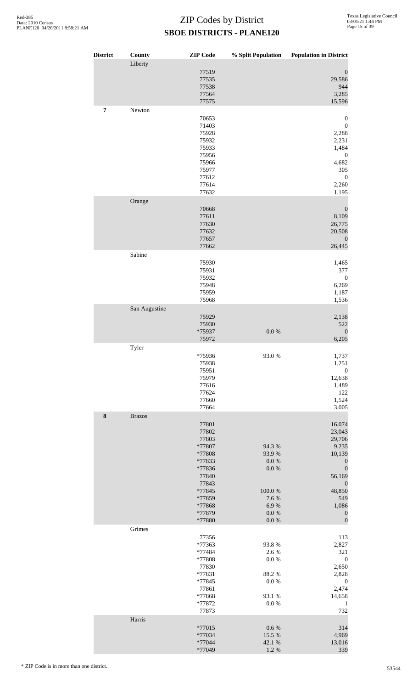| <b>District</b> | County<br>Liberty | <b>ZIP</b> Code  | % Split Population     | <b>Population in District</b>    |
|-----------------|-------------------|------------------|------------------------|----------------------------------|
|                 |                   | 77519            |                        | $\boldsymbol{0}$                 |
|                 |                   | 77535            |                        | 29,586                           |
|                 |                   | 77538<br>77564   |                        | 944<br>3,285                     |
|                 |                   | 77575            |                        | 15,596                           |
| 7               | Newton            |                  |                        |                                  |
|                 |                   | 70653<br>71403   |                        | 0<br>$\boldsymbol{0}$            |
|                 |                   | 75928            |                        | 2,288                            |
|                 |                   | 75932            |                        | 2,231                            |
|                 |                   | 75933            |                        | 1,484                            |
|                 |                   | 75956            |                        | $\boldsymbol{0}$                 |
|                 |                   | 75966<br>75977   |                        | 4,682                            |
|                 |                   | 77612            |                        | 305<br>$\mathbf{0}$              |
|                 |                   | 77614            |                        | 2,260                            |
|                 |                   | 77632            |                        | 1,195                            |
|                 | Orange            | 70668            |                        | $\boldsymbol{0}$                 |
|                 |                   | 77611            |                        | 8,109                            |
|                 |                   | 77630            |                        | 26,775                           |
|                 |                   | 77632            |                        | 20,508                           |
|                 |                   | 77657            |                        | $\boldsymbol{0}$                 |
|                 | Sabine            | 77662            |                        | 26,445                           |
|                 |                   | 75930            |                        | 1,465                            |
|                 |                   | 75931            |                        | 377                              |
|                 |                   | 75932            |                        | $\boldsymbol{0}$                 |
|                 |                   | 75948            |                        | 6,269                            |
|                 |                   | 75959<br>75968   |                        | 1,187<br>1,536                   |
|                 | San Augustine     |                  |                        |                                  |
|                 |                   | 75929            |                        | 2,138                            |
|                 |                   | 75930            |                        | 522                              |
|                 |                   | *75937           | $0.0\ \%$              | $\boldsymbol{0}$                 |
|                 | Tyler             | 75972            |                        | 6,205                            |
|                 |                   | *75936           | 93.0%                  | 1,737                            |
|                 |                   | 75938            |                        | 1,251                            |
|                 |                   | 75951            |                        | $\boldsymbol{0}$                 |
|                 |                   | 75979            |                        | 12,638                           |
|                 |                   | 77616<br>77624   |                        | 1,489<br>122                     |
|                 |                   | 77660            |                        | 1,524                            |
|                 |                   | 77664            |                        | 3,005                            |
| ${\bf 8}$       | <b>Brazos</b>     |                  |                        |                                  |
|                 |                   | 77801<br>77802   |                        | 16,074<br>23,043                 |
|                 |                   | 77803            |                        | 29,706                           |
|                 |                   | *77807           | 94.3 %                 | 9,235                            |
|                 |                   | *77808           | 93.9%                  | 10,139                           |
|                 |                   | *77833           | $0.0\ \%$              | $\boldsymbol{0}$                 |
|                 |                   | *77836<br>77840  | $0.0\ \%$              | $\boldsymbol{0}$<br>56,169       |
|                 |                   | 77843            |                        | $\boldsymbol{0}$                 |
|                 |                   | *77845           | $100.0~\%$             | 48,850                           |
|                 |                   | *77859           | 7.6%                   | 549                              |
|                 |                   | *77868           | 6.9%                   | 1,086                            |
|                 |                   | *77879<br>*77880 | $0.0\ \%$<br>$0.0\ \%$ | $\boldsymbol{0}$<br>$\mathbf{0}$ |
|                 | Grimes            |                  |                        |                                  |
|                 |                   | 77356            |                        | 113                              |
|                 |                   | *77363<br>*77484 | 93.8%<br>2.6%          | 2,827<br>321                     |
|                 |                   | *77808           | $0.0\ \%$              | $\boldsymbol{0}$                 |
|                 |                   | 77830            |                        | 2,650                            |
|                 |                   | *77831           | 88.2%                  | 2,828                            |
|                 |                   | *77845           | $0.0\ \%$              | $\boldsymbol{0}$                 |
|                 |                   | 77861            | 93.1 %                 | 2,474                            |
|                 |                   | *77868<br>*77872 | $0.0\ \%$              | 14,658<br>$\mathbf{1}$           |
|                 |                   | 77873            |                        | 732                              |
|                 | Harris            |                  |                        |                                  |
|                 |                   | *77015<br>*77034 | $0.6\ \%$<br>15.5 %    | 314<br>4,969                     |
|                 |                   | *77044           | 42.1 %                 | 13,016                           |
|                 |                   | *77049           | 1.2 %                  | 339                              |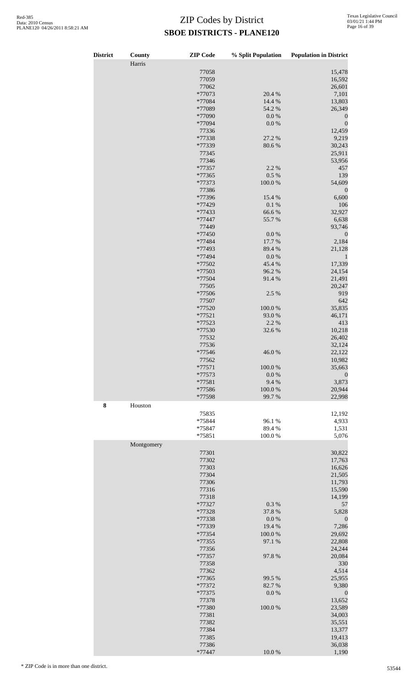| <b>District</b> | County<br>Harris | <b>ZIP</b> Code  | % Split Population | <b>Population in District</b> |
|-----------------|------------------|------------------|--------------------|-------------------------------|
|                 |                  |                  |                    |                               |
|                 |                  | 77058            |                    | 15,478                        |
|                 |                  | 77059            |                    | 16,592                        |
|                 |                  | 77062            |                    | 26,601                        |
|                 |                  | *77073           | 20.4 %             | 7,101                         |
|                 |                  | *77084           | 14.4 %             | 13,803                        |
|                 |                  | *77089           | 54.2 %             | 26,349                        |
|                 |                  | *77090           | $0.0\ \%$          | $\boldsymbol{0}$              |
|                 |                  | *77094           | 0.0 %              | $\boldsymbol{0}$              |
|                 |                  | 77336            |                    | 12,459                        |
|                 |                  | *77338           | 27.2 %             | 9,219                         |
|                 |                  | *77339           | 80.6%              | 30,243                        |
|                 |                  | 77345            |                    | 25,911                        |
|                 |                  | 77346            |                    | 53,956                        |
|                 |                  | *77357           | 2.2 %              | 457                           |
|                 |                  | *77365           | 0.5 %              | 139                           |
|                 |                  | *77373           | 100.0%             | 54,609                        |
|                 |                  | 77386            |                    | $\boldsymbol{0}$              |
|                 |                  | *77396           | 15.4 %             | 6,600                         |
|                 |                  | *77429           | $0.1~\%$           | 106                           |
|                 |                  | *77433           | 66.6%              | 32,927                        |
|                 |                  | *77447           | 55.7%              | 6,638                         |
|                 |                  | 77449            |                    | 93,746                        |
|                 |                  | *77450           | 0.0 %              | $\boldsymbol{0}$              |
|                 |                  | *77484           | 17.7 %             | 2,184                         |
|                 |                  | *77493           | 89.4%              | 21,128                        |
|                 |                  | *77494           | $0.0\ \%$          | $\mathbf{1}$                  |
|                 |                  | *77502           | 45.4 %             | 17,339                        |
|                 |                  | *77503           | 96.2%              | 24,154                        |
|                 |                  | *77504           | 91.4%              | 21,491                        |
|                 |                  | 77505            |                    | 20,247                        |
|                 |                  | *77506           | 2.5 %              | 919                           |
|                 |                  | 77507            |                    | 642                           |
|                 |                  | *77520           | 100.0%             | 35,835                        |
|                 |                  | $*77521$         | 93.0%              | 46,171                        |
|                 |                  | *77523           | 2.2 %              | 413                           |
|                 |                  | *77530           | 32.6%              | 10,218                        |
|                 |                  | 77532            |                    | 26,402                        |
|                 |                  | 77536            |                    | 32,124                        |
|                 |                  | *77546           | 46.0%              | 22,122                        |
|                 |                  | 77562            |                    | 10,982                        |
|                 |                  | $*77571$         | 100.0%             | 35,663                        |
|                 |                  | *77573           | 0.0 %              | $\boldsymbol{0}$              |
|                 |                  | *77581           | 9.4%               | 3,873                         |
|                 |                  | *77586<br>*77598 | 100.0%<br>99.7%    | 20,944<br>22,998              |
|                 |                  |                  |                    |                               |
| ${\bf 8}$       | Houston          |                  |                    |                               |
|                 |                  | 75835            |                    | 12,192                        |
|                 |                  | *75844           | 96.1%              | 4,933                         |
|                 |                  | *75847           | 89.4%              | 1,531                         |
|                 |                  | *75851           | 100.0%             | 5,076                         |
|                 | Montgomery       |                  |                    |                               |
|                 |                  | 77301            |                    | 30,822                        |
|                 |                  | 77302            |                    | 17,763                        |
|                 |                  | 77303            |                    | 16,626                        |
|                 |                  | 77304            |                    | 21,505                        |
|                 |                  | 77306            |                    | 11,793                        |
|                 |                  | 77316            |                    | 15,590                        |
|                 |                  | 77318            |                    | 14,199                        |
|                 |                  | *77327           | 0.3%               | 57                            |
|                 |                  | *77328           | 37.8%              | 5,828                         |
|                 |                  | *77338           | 0.0 %              | $\boldsymbol{0}$              |
|                 |                  | *77339           | 19.4 %             | 7,286                         |
|                 |                  | *77354           | 100.0%             | 29,692                        |
|                 |                  | *77355           | 97.1 %             | 22,808                        |
|                 |                  | 77356            |                    | 24,244                        |
|                 |                  | *77357           | 97.8%              | 20,084                        |
|                 |                  | 77358            |                    | 330                           |
|                 |                  | 77362            |                    | 4,514                         |
|                 |                  | *77365           | 99.5 %             | 25,955                        |
|                 |                  | *77372           | 82.7%              | 9,380                         |
|                 |                  | *77375           | 0.0 %              | $\boldsymbol{0}$              |
|                 |                  | 77378            |                    | 13,652                        |
|                 |                  | *77380           | 100.0%             | 23,589                        |
|                 |                  | 77381            |                    | 34,003                        |
|                 |                  | 77382            |                    | 35,551                        |
|                 |                  | 77384            |                    | 13,377                        |
|                 |                  | 77385            |                    | 19,413                        |
|                 |                  | 77386            |                    | 36,038                        |
|                 |                  | $*77447$         | 10.0 %             | 1,190                         |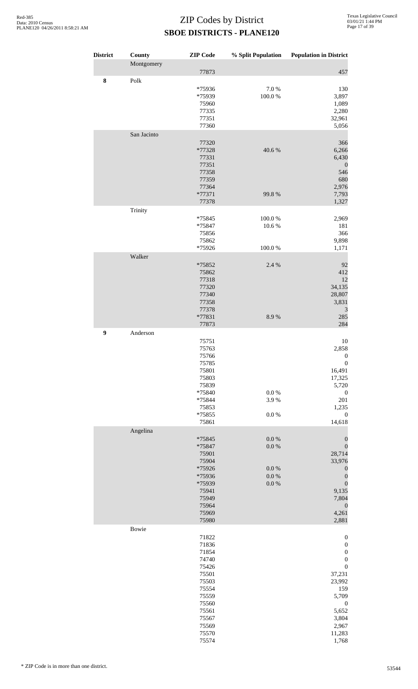| <b>District</b> | County                | <b>ZIP</b> Code                                                                                                                     |                                                               | % Split Population Population in District                                                                                                                                                              |
|-----------------|-----------------------|-------------------------------------------------------------------------------------------------------------------------------------|---------------------------------------------------------------|--------------------------------------------------------------------------------------------------------------------------------------------------------------------------------------------------------|
|                 | Montgomery            | 77873                                                                                                                               |                                                               | 457                                                                                                                                                                                                    |
| ${\bf 8}$       | $\operatorname{Polk}$ | *75936<br>*75939<br>75960<br>77335<br>77351<br>77360                                                                                | 7.0%<br>100.0%                                                | 130<br>3,897<br>1,089<br>2,280<br>32,961<br>5,056                                                                                                                                                      |
|                 | San Jacinto           | 77320<br>*77328<br>77331<br>77351<br>77358<br>77359<br>77364<br>*77371<br>77378                                                     | 40.6%<br>99.8%                                                | 366<br>6,266<br>6,430<br>$\boldsymbol{0}$<br>546<br>680<br>2,976<br>7,793<br>1,327                                                                                                                     |
|                 | Trinity               | *75845<br>*75847<br>75856<br>75862<br>*75926                                                                                        | 100.0%<br>10.6%<br>100.0%                                     | 2,969<br>181<br>366<br>9,898<br>1,171                                                                                                                                                                  |
|                 | Walker                | *75852<br>75862<br>77318<br>77320<br>77340<br>77358<br>77378<br>*77831<br>77873                                                     | 2.4 %<br>8.9%                                                 | 92<br>412<br>12<br>34,135<br>28,807<br>3,831<br>$\mathfrak{Z}$<br>285<br>284                                                                                                                           |
| 9               | Anderson              | 75751<br>75763<br>75766<br>75785<br>75801<br>75803<br>75839<br>*75840<br>*75844<br>75853<br>*75855<br>75861                         | $0.0\ \%$<br>3.9%<br>$0.0\ \%$                                | 10<br>2,858<br>$\boldsymbol{0}$<br>$\boldsymbol{0}$<br>16,491<br>17,325<br>5,720<br>$\boldsymbol{0}$<br>201<br>1,235<br>$\boldsymbol{0}$<br>14,618                                                     |
|                 | Angelina              | *75845<br>*75847<br>75901<br>75904<br>*75926<br>*75936<br>*75939<br>75941<br>75949<br>75964<br>75969<br>75980                       | $0.0\ \%$<br>$0.0\ \%$<br>$0.0\ \%$<br>$0.0\ \%$<br>$0.0\ \%$ | $\boldsymbol{0}$<br>$\boldsymbol{0}$<br>28,714<br>33,976<br>$\boldsymbol{0}$<br>$\boldsymbol{0}$<br>$\boldsymbol{0}$<br>9,135<br>7,804<br>$\boldsymbol{0}$<br>4,261<br>2,881                           |
|                 | Bowie                 | 71822<br>71836<br>71854<br>74740<br>75426<br>75501<br>75503<br>75554<br>75559<br>75560<br>75561<br>75567<br>75569<br>75570<br>75574 |                                                               | $\boldsymbol{0}$<br>$\boldsymbol{0}$<br>$\boldsymbol{0}$<br>$\boldsymbol{0}$<br>$\boldsymbol{0}$<br>37,231<br>23,992<br>159<br>5,709<br>$\boldsymbol{0}$<br>5,652<br>3,804<br>2,967<br>11,283<br>1,768 |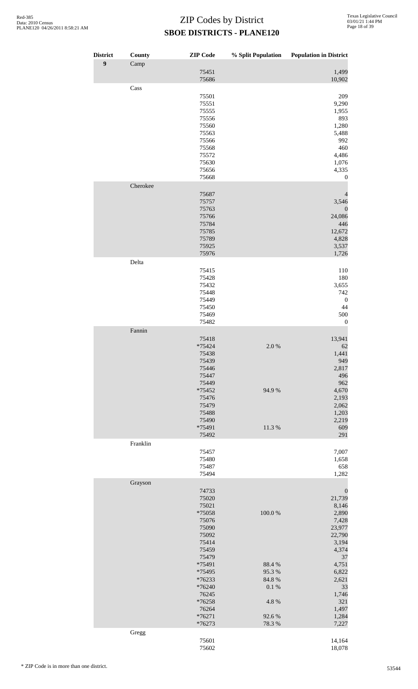| <b>District</b>  | County   | <b>ZIP</b> Code   | % Split Population | <b>Population in District</b> |
|------------------|----------|-------------------|--------------------|-------------------------------|
| $\boldsymbol{9}$ | Camp     |                   |                    |                               |
|                  |          | 75451<br>75686    |                    | 1,499<br>10,902               |
|                  | Cass     |                   |                    |                               |
|                  |          | 75501             |                    | 209                           |
|                  |          | 75551             |                    | 9,290                         |
|                  |          | 75555             |                    | 1,955                         |
|                  |          | 75556             |                    | 893                           |
|                  |          | 75560             |                    | 1,280                         |
|                  |          | 75563<br>75566    |                    | 5,488<br>992                  |
|                  |          | 75568             |                    | 460                           |
|                  |          | 75572             |                    | 4,486                         |
|                  |          | 75630             |                    | 1,076                         |
|                  |          | 75656             |                    | 4,335                         |
|                  |          | 75668             |                    | 0                             |
|                  | Cherokee | 75687             |                    | 4                             |
|                  |          | 75757             |                    | 3,546                         |
|                  |          | 75763             |                    | $\boldsymbol{0}$              |
|                  |          | 75766             |                    | 24,086                        |
|                  |          | 75784             |                    | 446                           |
|                  |          | 75785             |                    | 12,672                        |
|                  |          | 75789<br>75925    |                    | 4,828<br>3,537                |
|                  |          | 75976             |                    | 1,726                         |
|                  | Delta    |                   |                    |                               |
|                  |          | 75415             |                    | 110                           |
|                  |          | 75428             |                    | 180                           |
|                  |          | 75432<br>75448    |                    | 3,655<br>742                  |
|                  |          | 75449             |                    | $\boldsymbol{0}$              |
|                  |          | 75450             |                    | 44                            |
|                  |          | 75469             |                    | 500                           |
|                  |          | 75482             |                    | $\mathbf{0}$                  |
|                  | Fannin   |                   |                    |                               |
|                  |          | 75418<br>*75424   | 2.0%               | 13,941<br>62                  |
|                  |          | 75438             |                    | 1,441                         |
|                  |          | 75439             |                    | 949                           |
|                  |          | 75446             |                    | 2,817                         |
|                  |          | 75447             |                    | 496                           |
|                  |          | 75449<br>*75452   | 94.9%              | 962<br>4,670                  |
|                  |          | 75476             |                    | 2,193                         |
|                  |          | 75479             |                    | 2,062                         |
|                  |          | 75488             |                    | 1,203                         |
|                  |          | 75490             |                    | 2,219                         |
|                  |          | *75491<br>75492   | 11.3%              | 609<br>291                    |
|                  | Franklin |                   |                    |                               |
|                  |          | 75457             |                    | 7,007                         |
|                  |          | 75480             |                    | 1,658                         |
|                  |          | 75487             |                    | 658                           |
|                  |          | 75494             |                    | 1,282                         |
|                  | Grayson  | 74733             |                    | $\boldsymbol{0}$              |
|                  |          | 75020             |                    | 21,739                        |
|                  |          | 75021             |                    | 8,146                         |
|                  |          | *75058            | 100.0%             | 2,890                         |
|                  |          | 75076             |                    | 7,428                         |
|                  |          | 75090<br>75092    |                    | 23,977<br>22,790              |
|                  |          | 75414             |                    | 3,194                         |
|                  |          | 75459             |                    | 4,374                         |
|                  |          | 75479             |                    | 37                            |
|                  |          | *75491            | 88.4%              | 4,751                         |
|                  |          | *75495<br>*76233  | 95.3%<br>84.8%     | 6,822<br>2,621                |
|                  |          | *76240            | $0.1~\%$           | 33                            |
|                  |          | 76245             |                    | 1,746                         |
|                  |          | *76258            | 4.8%               | 321                           |
|                  |          | 76264<br>$*76271$ | 92.6%              | 1,497<br>1,284                |
|                  |          | *76273            | 78.3 %             | 7,227                         |
|                  | Gregg    |                   |                    |                               |
|                  |          | 75601             |                    | 14,164                        |
|                  |          | 75602             |                    | 18,078                        |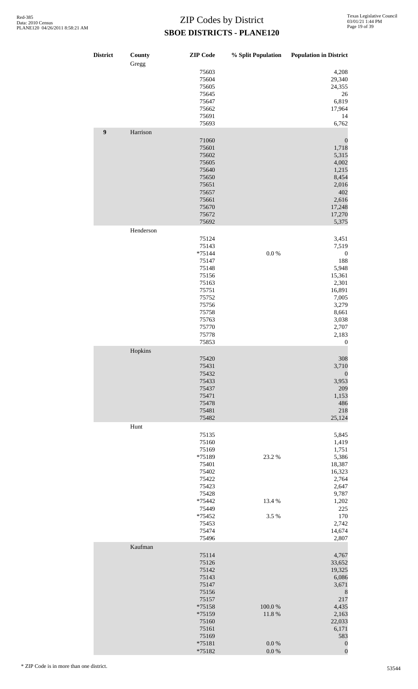| <b>District</b>  | County<br>Gregg | <b>ZIP</b> Code                                                                                          | % Split Population | <b>Population in District</b>                                                                                       |
|------------------|-----------------|----------------------------------------------------------------------------------------------------------|--------------------|---------------------------------------------------------------------------------------------------------------------|
|                  |                 | 75603<br>75604<br>75605<br>75645<br>75647                                                                |                    | 4,208<br>29,340<br>24,355<br>26<br>6,819                                                                            |
| $\boldsymbol{9}$ | Harrison        | 75662<br>75691<br>75693                                                                                  |                    | 17,964<br>14<br>6,762                                                                                               |
|                  |                 | 71060<br>75601<br>75602<br>75605<br>75640<br>75650<br>75651<br>75657<br>75661<br>75670<br>75672<br>75692 |                    | $\boldsymbol{0}$<br>1,718<br>5,315<br>4,002<br>1,215<br>8,454<br>2,016<br>402<br>2,616<br>17,248<br>17,270<br>5,375 |
|                  | Henderson       | 75124                                                                                                    |                    | 3,451                                                                                                               |
|                  |                 | 75143<br>$*75144$<br>75147<br>75148<br>75156<br>75163<br>75751<br>75752                                  | $0.0\ \%$          | 7,519<br>$\boldsymbol{0}$<br>188<br>5,948<br>15,361<br>2,301<br>16,891<br>7,005                                     |
|                  |                 | 75756<br>75758                                                                                           |                    | 3,279<br>8,661                                                                                                      |
|                  |                 | 75763<br>75770                                                                                           |                    | 3,038<br>2,707                                                                                                      |
|                  |                 | 75778<br>75853                                                                                           |                    | 2,183<br>$\boldsymbol{0}$                                                                                           |
|                  | Hopkins         | 75420                                                                                                    |                    | 308                                                                                                                 |
|                  |                 | 75431<br>75432<br>75433<br>75437<br>75471<br>75478<br>75481<br>75482                                     |                    | 3,710<br>$\boldsymbol{0}$<br>3,953<br>209<br>1,153<br>486<br>218<br>25,124                                          |
|                  | Hunt            |                                                                                                          |                    |                                                                                                                     |
|                  |                 | 75135<br>75160<br>75169<br>*75189<br>75401<br>75402<br>75422<br>75423                                    | 23.2 %             | 5,845<br>1,419<br>1,751<br>5,386<br>18,387<br>16,323<br>2,764<br>2,647                                              |
|                  |                 | 75428<br>*75442                                                                                          | 13.4 %             | 9,787<br>1,202                                                                                                      |
|                  |                 | 75449<br>*75452                                                                                          | 3.5 %              | 225<br>170                                                                                                          |
|                  |                 | 75453<br>75474<br>75496                                                                                  |                    | 2,742<br>14,674                                                                                                     |
|                  | Kaufman         |                                                                                                          |                    | 2,807                                                                                                               |
|                  |                 | 75114<br>75126<br>75142<br>75143                                                                         |                    | 4,767<br>33,652<br>19,325<br>6,086                                                                                  |
|                  |                 | 75147<br>75156                                                                                           |                    | 3,671<br>$\,$ 8 $\,$                                                                                                |
|                  |                 | 75157<br>*75158                                                                                          | 100.0%             | 217<br>4,435                                                                                                        |
|                  |                 | *75159<br>75160                                                                                          | 11.8%              | 2,163<br>22,033                                                                                                     |
|                  |                 | 75161<br>75169                                                                                           |                    | 6,171<br>583                                                                                                        |
|                  |                 | *75181<br>*75182                                                                                         | 0.0 %<br>$0.0\ \%$ | $\boldsymbol{0}$<br>$\boldsymbol{0}$                                                                                |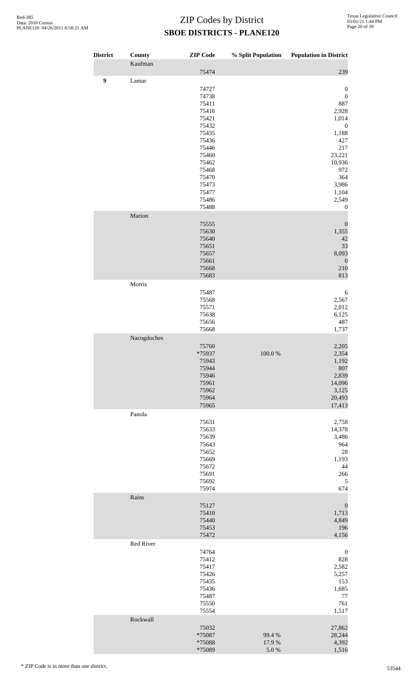| <b>District</b>  | <b>County</b> | <b>ZIP</b> Code | % Split Population | <b>Population in District</b> |
|------------------|---------------|-----------------|--------------------|-------------------------------|
|                  | Kaufman       | 75474           |                    | 239                           |
| $\boldsymbol{9}$ | Lamar         |                 |                    |                               |
|                  |               | 74727           |                    | $\boldsymbol{0}$              |
|                  |               | 74738           |                    | $\boldsymbol{0}$              |
|                  |               | 75411<br>75416  |                    | 887<br>2,928                  |
|                  |               | 75421           |                    | 1,014                         |
|                  |               | 75432           |                    | $\boldsymbol{0}$              |
|                  |               | 75435           |                    | 1,188                         |
|                  |               | 75436           |                    | 427                           |
|                  |               | 75446<br>75460  |                    | 217<br>23,221                 |
|                  |               | 75462           |                    | 10,936                        |
|                  |               | 75468           |                    | 972                           |
|                  |               | 75470           |                    | 364                           |
|                  |               | 75473<br>75477  |                    | 3,986<br>1,104                |
|                  |               | 75486           |                    | 2,549                         |
|                  |               | 75488           |                    | $\mathbf{0}$                  |
|                  | Marion        |                 |                    |                               |
|                  |               | 75555<br>75630  |                    | $\boldsymbol{0}$<br>1,355     |
|                  |               | 75640           |                    | 42                            |
|                  |               | 75651           |                    | 33                            |
|                  |               | 75657           |                    | 8,093                         |
|                  |               | 75661<br>75668  |                    | $\mathbf{0}$<br>210           |
|                  |               | 75683           |                    | 813                           |
|                  | Morris        |                 |                    |                               |
|                  |               | 75487           |                    | 6                             |
|                  |               | 75568           |                    | 2,567                         |
|                  |               | 75571<br>75638  |                    | 2,012<br>6,125                |
|                  |               | 75656           |                    | 487                           |
|                  |               | 75668           |                    | 1,737                         |
|                  | Nacogdoches   |                 |                    |                               |
|                  |               | 75760<br>*75937 | $100.0~\%$         | 2,205<br>2,354                |
|                  |               | 75943           |                    | 1,192                         |
|                  |               | 75944           |                    | 807                           |
|                  |               | 75946           |                    | 2,839                         |
|                  |               | 75961<br>75962  |                    | 14,096<br>3,125               |
|                  |               | 75964           |                    | 20,493                        |
|                  |               | 75965           |                    | 17,413                        |
|                  | Panola        |                 |                    |                               |
|                  |               | 75631<br>75633  |                    | 2,758<br>14,378               |
|                  |               | 75639           |                    | 3,486                         |
|                  |               | 75643           |                    | 964                           |
|                  |               | 75652           |                    | 28                            |
|                  |               | 75669<br>75672  |                    | 1,193<br>44                   |
|                  |               | 75691           |                    | 266                           |
|                  |               | 75692           |                    | $\sqrt{5}$                    |
|                  |               | 75974           |                    | 674                           |
|                  | Rains         | 75127           |                    |                               |
|                  |               | 75410           |                    | $\boldsymbol{0}$<br>1,713     |
|                  |               | 75440           |                    | 4,849                         |
|                  |               | 75453           |                    | 196                           |
|                  | Red River     | 75472           |                    | 4,156                         |
|                  |               | 74764           |                    | $\boldsymbol{0}$              |
|                  |               | 75412           |                    | 828                           |
|                  |               | 75417           |                    | 2,582                         |
|                  |               | 75426<br>75435  |                    | 5,257<br>153                  |
|                  |               | 75436           |                    | 1,685                         |
|                  |               | 75487           |                    | 77                            |
|                  |               | 75550           |                    | 761                           |
|                  | Rockwall      | 75554           |                    | 1,517                         |
|                  |               | 75032           |                    | 27,862                        |
|                  |               | *75087          | 99.4 %             | 28,244                        |
|                  |               | *75088          | 17.9 %             | 4,392                         |
|                  |               | *75089          | 5.0%               | 1,516                         |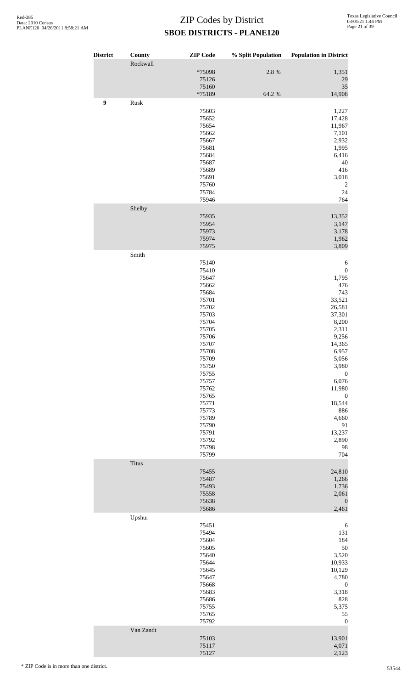| <b>District</b> | <b>County</b><br>Rockwall | <b>ZIP</b> Code | % Split Population | <b>Population in District</b> |
|-----------------|---------------------------|-----------------|--------------------|-------------------------------|
|                 |                           | *75098<br>75126 | 2.8 %              | 1,351<br>29                   |
|                 |                           | 75160<br>*75189 | 64.2 %             | 35<br>14,908                  |
| 9               | Rusk                      | 75603           |                    | 1,227                         |
|                 |                           | 75652           |                    | 17,428                        |
|                 |                           | 75654           |                    | 11,967                        |
|                 |                           | 75662           |                    | 7,101                         |
|                 |                           | 75667           |                    | 2,932                         |
|                 |                           | 75681           |                    | 1,995                         |
|                 |                           | 75684           |                    | 6,416                         |
|                 |                           | 75687           |                    | 40                            |
|                 |                           | 75689           |                    | 416                           |
|                 |                           | 75691           |                    | 3,018                         |
|                 |                           | 75760           |                    | $\overline{c}$                |
|                 |                           | 75784           |                    | 24                            |
|                 |                           | 75946           |                    | 764                           |
|                 | Shelby                    |                 |                    |                               |
|                 |                           | 75935           |                    | 13,352                        |
|                 |                           | 75954           |                    | 3,147                         |
|                 |                           | 75973           |                    | 3,178                         |
|                 |                           | 75974           |                    | 1,962                         |
|                 | Smith                     | 75975           |                    | 3,809                         |
|                 |                           | 75140           |                    | 6                             |
|                 |                           | 75410           |                    | $\boldsymbol{0}$              |
|                 |                           | 75647           |                    | 1,795                         |
|                 |                           | 75662           |                    | 476                           |
|                 |                           | 75684           |                    | 743                           |
|                 |                           | 75701           |                    | 33,521                        |
|                 |                           | 75702           |                    | 26,581                        |
|                 |                           | 75703           |                    | 37,301                        |
|                 |                           | 75704           |                    | 8,200                         |
|                 |                           | 75705           |                    | 2,311                         |
|                 |                           | 75706           |                    | 9,256                         |
|                 |                           | 75707           |                    | 14,365                        |
|                 |                           | 75708           |                    | 6,957                         |
|                 |                           | 75709           |                    | 5,056                         |
|                 |                           | 75750           |                    | 3,980                         |
|                 |                           | 75755           |                    | $\boldsymbol{0}$              |
|                 |                           | 75757           |                    | 6,076                         |
|                 |                           | 75762           |                    | 11,980                        |
|                 |                           | 75765           |                    | $\boldsymbol{0}$              |
|                 |                           | 75771           |                    | 18,544                        |
|                 |                           | 75773           |                    | 886                           |
|                 |                           | 75789           |                    | 4,660                         |
|                 |                           | 75790           |                    | 91                            |
|                 |                           | 75791           |                    | 13,237                        |
|                 |                           | 75792           |                    | 2,890                         |
|                 |                           | 75798           |                    | 98                            |
|                 |                           | 75799           |                    | 704                           |
|                 | Titus                     |                 |                    |                               |
|                 |                           | 75455           |                    | 24,810                        |
|                 |                           | 75487           |                    | 1,266                         |
|                 |                           | 75493           |                    | 1,736                         |
|                 |                           | 75558           |                    | 2,061                         |
|                 |                           | 75638<br>75686  |                    | $\boldsymbol{0}$<br>2,461     |
|                 | Upshur                    |                 |                    |                               |
|                 |                           | 75451           |                    | 6                             |
|                 |                           | 75494           |                    | 131                           |
|                 |                           | 75604           |                    | 184                           |
|                 |                           | 75605           |                    | 50                            |
|                 |                           | 75640           |                    | 3,520                         |
|                 |                           | 75644           |                    | 10,933                        |
|                 |                           | 75645           |                    | 10,129                        |
|                 |                           | 75647           |                    | 4,780                         |
|                 |                           | 75668           |                    | $\boldsymbol{0}$              |
|                 |                           | 75683           |                    | 3,318                         |
|                 |                           | 75686           |                    | 828                           |
|                 |                           | 75755           |                    | 5,375                         |
|                 |                           | 75765           |                    | 55                            |
|                 |                           | 75792           |                    | $\boldsymbol{0}$              |
|                 | Van Zandt                 |                 |                    |                               |
|                 |                           | 75103           |                    | 13,901                        |
|                 |                           | 75117<br>75127  |                    | 4,071<br>2,123                |
|                 |                           |                 |                    |                               |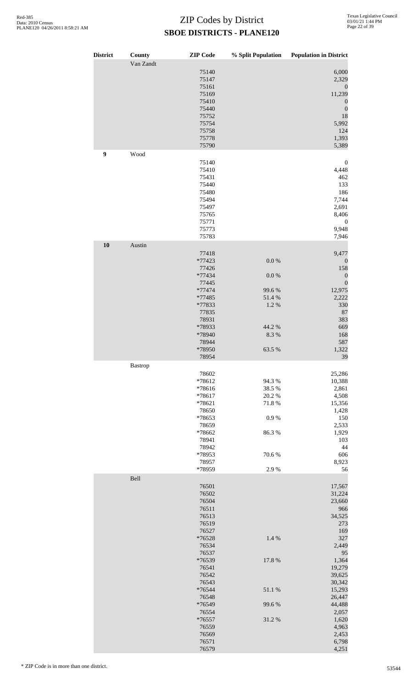| <b>District</b> | County<br>Van Zandt | <b>ZIP</b> Code  | % Split Population | <b>Population in District</b>        |
|-----------------|---------------------|------------------|--------------------|--------------------------------------|
|                 |                     | 75140            |                    | 6,000                                |
|                 |                     | 75147<br>75161   |                    | 2,329<br>$\boldsymbol{0}$            |
|                 |                     | 75169            |                    | 11,239                               |
|                 |                     | 75410<br>75440   |                    | $\boldsymbol{0}$<br>$\boldsymbol{0}$ |
|                 |                     | 75752            |                    | 18                                   |
|                 |                     | 75754<br>75758   |                    | 5,992<br>124                         |
|                 |                     | 75778            |                    | 1,393                                |
| 9               | Wood                | 75790            |                    | 5,389                                |
|                 |                     | 75140            |                    | $\boldsymbol{0}$                     |
|                 |                     | 75410            |                    | 4,448                                |
|                 |                     | 75431<br>75440   |                    | 462<br>133                           |
|                 |                     | 75480            |                    | 186                                  |
|                 |                     | 75494<br>75497   |                    | 7,744<br>2,691                       |
|                 |                     | 75765            |                    | 8,406                                |
|                 |                     | 75771<br>75773   |                    | $\boldsymbol{0}$<br>9,948            |
|                 |                     | 75783            |                    | 7,946                                |
| 10              | Austin              |                  |                    |                                      |
|                 |                     | 77418<br>*77423  | $0.0\ \%$          | 9,477<br>$\boldsymbol{0}$            |
|                 |                     | 77426            |                    | 158                                  |
|                 |                     | *77434           | $0.0\ \%$          | $\boldsymbol{0}$<br>$\boldsymbol{0}$ |
|                 |                     | 77445<br>*77474  | 99.6%              | 12,975                               |
|                 |                     | *77485           | 51.4%              | 2,222                                |
|                 |                     | *77833<br>77835  | 1.2%               | 330<br>87                            |
|                 |                     | 78931            |                    | 383                                  |
|                 |                     | *78933<br>*78940 | 44.2 %<br>8.3 %    | 669<br>168                           |
|                 |                     | 78944            |                    | 587                                  |
|                 |                     | *78950<br>78954  | 63.5 %             | 1,322<br>39                          |
|                 | <b>Bastrop</b>      |                  |                    |                                      |
|                 |                     | 78602            |                    | 25,286                               |
|                 |                     | *78612<br>*78616 | 94.3%<br>38.5 %    | 10,388<br>2,861                      |
|                 |                     | *78617           | 20.2 %             | 4,508                                |
|                 |                     | *78621<br>78650  | 71.8%              | 15,356<br>1,428                      |
|                 |                     | *78653           | 0.9%               | 150                                  |
|                 |                     | 78659<br>*78662  | 86.3%              | 2,533<br>1,929                       |
|                 |                     | 78941            |                    | 103                                  |
|                 |                     | 78942<br>*78953  | 70.6%              | 44<br>606                            |
|                 |                     | 78957            |                    | 8,923                                |
|                 |                     | *78959           | 2.9%               | 56                                   |
|                 | Bell                | 76501            |                    | 17,567                               |
|                 |                     | 76502            |                    | 31,224                               |
|                 |                     | 76504<br>76511   |                    | 23,660<br>966                        |
|                 |                     | 76513            |                    | 34,525                               |
|                 |                     | 76519<br>76527   |                    | 273<br>169                           |
|                 |                     | *76528           | 1.4 %              | 327                                  |
|                 |                     | 76534<br>76537   |                    | 2,449<br>95                          |
|                 |                     | *76539           | 17.8 %             | 1,364                                |
|                 |                     | 76541<br>76542   |                    | 19,279<br>39,625                     |
|                 |                     | 76543            |                    | 30,342                               |
|                 |                     | *76544<br>76548  | 51.1%              | 15,293                               |
|                 |                     | *76549           | 99.6%              | 26,447<br>44,488                     |
|                 |                     | 76554            |                    | 2,057                                |
|                 |                     | *76557<br>76559  | 31.2%              | 1,620<br>4,963                       |
|                 |                     | 76569            |                    | 2,453                                |
|                 |                     | 76571<br>76579   |                    | 6,798<br>4,251                       |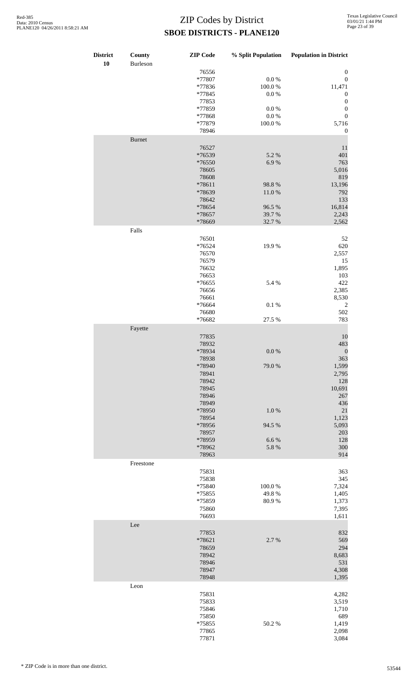| <b>District</b><br>10 | County<br>Burleson | <b>ZIP</b> Code                                                                                                                                             | % Split Population                                                       | <b>Population in District</b>                                                                                                                               |
|-----------------------|--------------------|-------------------------------------------------------------------------------------------------------------------------------------------------------------|--------------------------------------------------------------------------|-------------------------------------------------------------------------------------------------------------------------------------------------------------|
|                       |                    | 76556<br>*77807<br>*77836<br>*77845<br>77853<br>*77859<br>*77868<br>*77879<br>78946                                                                         | $0.0\ \%$<br>100.0%<br>$0.0\ \%$<br>$0.0\ \%$<br>$0.0\ \%$<br>$100.0~\%$ | $\boldsymbol{0}$<br>$\boldsymbol{0}$<br>11,471<br>$\boldsymbol{0}$<br>$\boldsymbol{0}$<br>$\boldsymbol{0}$<br>$\boldsymbol{0}$<br>5,716<br>$\boldsymbol{0}$ |
|                       | <b>Burnet</b>      | 76527<br>*76539<br>*76550<br>78605<br>78608<br>*78611<br>*78639<br>78642<br>*78654<br>*78657                                                                | 5.2 %<br>6.9%<br>98.8%<br>11.0%<br>96.5 %<br>39.7%                       | 11<br>401<br>763<br>5,016<br>819<br>13,196<br>792<br>133<br>16,814<br>2,243                                                                                 |
|                       | Falls              | *78669<br>76501<br>*76524<br>76570<br>76579<br>76632<br>76653<br>*76655<br>76656<br>76661<br>*76664<br>76680<br>*76682                                      | 32.7%<br>19.9%<br>5.4 %<br>$0.1~\%$<br>27.5 %                            | 2,562<br>52<br>620<br>2,557<br>15<br>1,895<br>103<br>422<br>2,385<br>8,530<br>$\overline{\mathbf{c}}$<br>502<br>783                                         |
|                       | Fayette            | 77835<br>78932<br>*78934<br>78938<br>*78940<br>78941<br>78942<br>78945<br>78946<br>78949<br>*78950<br>78954<br>*78956<br>78957<br>*78959<br>*78962<br>78963 | $0.0\ \%$<br>79.0%<br>1.0%<br>94.5 %<br>6.6%<br>5.8 %                    | 10<br>483<br>$\boldsymbol{0}$<br>363<br>1,599<br>2,795<br>128<br>10,691<br>267<br>436<br>21<br>1,123<br>5,093<br>203<br>128<br>300<br>914                   |
|                       | Freestone          | 75831<br>75838<br>*75840<br>*75855<br>*75859<br>75860<br>76693                                                                                              | 100.0%<br>49.8%<br>80.9%                                                 | 363<br>345<br>7,324<br>1,405<br>1,373<br>7,395<br>1,611                                                                                                     |
|                       | Lee                | 77853<br>*78621<br>78659<br>78942<br>78946<br>78947<br>78948                                                                                                | 2.7 %                                                                    | 832<br>569<br>294<br>8,683<br>531<br>4,308<br>1,395                                                                                                         |
|                       | Leon               | 75831<br>75833<br>75846<br>75850<br>*75855<br>77865<br>77871                                                                                                | 50.2%                                                                    | 4,282<br>3,519<br>1,710<br>689<br>1,419<br>2,098<br>3,084                                                                                                   |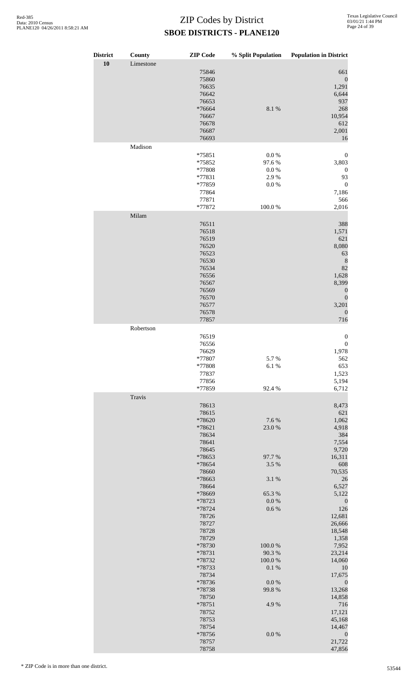| <b>District</b> | County    | <b>ZIP</b> Code  | % Split Population | <b>Population in District</b> |
|-----------------|-----------|------------------|--------------------|-------------------------------|
| 10              | Limestone |                  |                    |                               |
|                 |           | 75846<br>75860   |                    | 661<br>$\boldsymbol{0}$       |
|                 |           | 76635            |                    | 1,291                         |
|                 |           | 76642            |                    | 6,644                         |
|                 |           | 76653<br>*76664  | 8.1%               | 937<br>268                    |
|                 |           | 76667            |                    | 10,954                        |
|                 |           | 76678            |                    | 612                           |
|                 |           | 76687<br>76693   |                    | 2,001<br>16                   |
|                 | Madison   |                  |                    |                               |
|                 |           | *75851           | $0.0\ \%$          | $\boldsymbol{0}$              |
|                 |           | *75852           | 97.6%              | 3,803                         |
|                 |           | *77808<br>*77831 | 0.0 %<br>2.9%      | $\boldsymbol{0}$<br>93        |
|                 |           | *77859           | 0.0 %              | $\boldsymbol{0}$              |
|                 |           | 77864            |                    | 7,186                         |
|                 |           | 77871<br>*77872  | 100.0%             | 566<br>2,016                  |
|                 | Milam     |                  |                    |                               |
|                 |           | 76511            |                    | 388                           |
|                 |           | 76518            |                    | 1,571                         |
|                 |           | 76519<br>76520   |                    | 621<br>8,080                  |
|                 |           | 76523            |                    | 63                            |
|                 |           | 76530            |                    | $\,$ 8 $\,$                   |
|                 |           | 76534<br>76556   |                    | 82<br>1,628                   |
|                 |           | 76567            |                    | 8,399                         |
|                 |           | 76569            |                    | $\boldsymbol{0}$              |
|                 |           | 76570<br>76577   |                    | $\boldsymbol{0}$<br>3,201     |
|                 |           | 76578            |                    | $\theta$                      |
|                 |           | 77857            |                    | 716                           |
|                 | Robertson | 76519            |                    | $\boldsymbol{0}$              |
|                 |           | 76556            |                    | $\boldsymbol{0}$              |
|                 |           | 76629            |                    | 1,978                         |
|                 |           | *77807<br>*77808 | 5.7%<br>6.1%       | 562<br>653                    |
|                 |           | 77837            |                    | 1,523                         |
|                 |           | 77856            |                    | 5,194                         |
|                 | Travis    | *77859           | 92.4 %             | 6,712                         |
|                 |           | 78613            |                    | 8,473                         |
|                 |           | 78615            |                    | 621                           |
|                 |           | *78620<br>*78621 | 7.6%<br>23.0%      | 1,062<br>4,918                |
|                 |           | 78634            |                    | 384                           |
|                 |           | 78641            |                    | 7,554                         |
|                 |           | 78645<br>*78653  | 97.7%              | 9,720<br>16,311               |
|                 |           | *78654           | 3.5 %              | 608                           |
|                 |           | 78660<br>*78663  |                    | 70,535                        |
|                 |           | 78664            | 3.1 %              | 26<br>6,527                   |
|                 |           | *78669           | 65.3%              | 5,122                         |
|                 |           | *78723<br>*78724 | 0.0 %<br>0.6 %     | $\boldsymbol{0}$<br>126       |
|                 |           | 78726            |                    | 12,681                        |
|                 |           | 78727            |                    | 26,666                        |
|                 |           | 78728<br>78729   |                    | 18,548<br>1,358               |
|                 |           | *78730           | 100.0%             | 7,952                         |
|                 |           | *78731           | 90.3%              | 23,214                        |
|                 |           | *78732<br>*78733 | 100.0%<br>0.1 %    | 14,060<br>10                  |
|                 |           | 78734            |                    | 17,675                        |
|                 |           | *78736           | 0.0 %              | $\boldsymbol{0}$              |
|                 |           | *78738<br>78750  | 99.8%              | 13,268<br>14,858              |
|                 |           | *78751           | 4.9%               | 716                           |
|                 |           | 78752            |                    | 17,121                        |
|                 |           | 78753<br>78754   |                    | 45,168<br>14,467              |
|                 |           | *78756           | $0.0\ \%$          | $\boldsymbol{0}$              |
|                 |           | 78757            |                    | 21,722                        |
|                 |           | 78758            |                    | 47,856                        |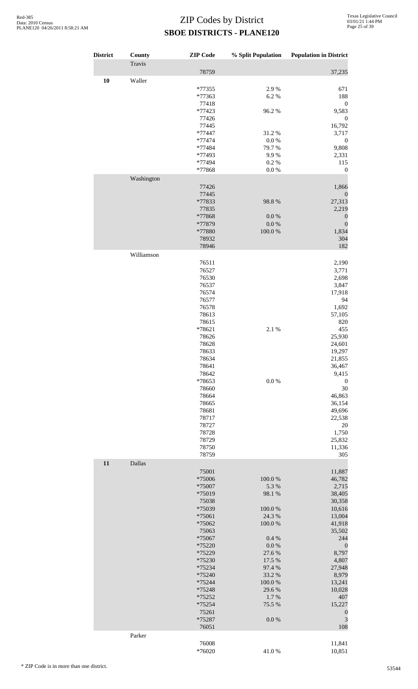| <b>District</b> | County     | <b>ZIP</b> Code  | % Split Population  | <b>Population in District</b> |
|-----------------|------------|------------------|---------------------|-------------------------------|
|                 | Travis     |                  |                     |                               |
|                 |            | 78759            |                     | 37,235                        |
| 10              | Waller     | *77355           | 2.9%                | 671                           |
|                 |            | *77363           | 6.2%                | 188                           |
|                 |            | 77418            |                     | $\boldsymbol{0}$              |
|                 |            | *77423           | 96.2%               | 9,583                         |
|                 |            | 77426<br>77445   |                     | $\boldsymbol{0}$<br>16,792    |
|                 |            | $*77447$         | 31.2%               | 3,717                         |
|                 |            | *77474           | 0.0 %               | $\boldsymbol{0}$              |
|                 |            | *77484<br>*77493 | 79.7%<br>9.9%       | 9,808<br>2,331                |
|                 |            | *77494           | 0.2 %               | 115                           |
|                 |            | *77868           | $0.0\ \%$           | $\boldsymbol{0}$              |
|                 | Washington |                  |                     |                               |
|                 |            | 77426<br>77445   |                     | 1,866                         |
|                 |            | *77833           | 98.8%               | $\boldsymbol{0}$<br>27,313    |
|                 |            | 77835            |                     | 2,219                         |
|                 |            | *77868           | $0.0\ \%$           | $\boldsymbol{0}$              |
|                 |            | *77879<br>*77880 | $0.0\ \%$<br>100.0% | $\boldsymbol{0}$<br>1,834     |
|                 |            | 78932            |                     | 304                           |
|                 |            | 78946            |                     | 182                           |
|                 | Williamson |                  |                     |                               |
|                 |            | 76511<br>76527   |                     | 2,190<br>3,771                |
|                 |            | 76530            |                     | 2,698                         |
|                 |            | 76537            |                     | 3,847                         |
|                 |            | 76574            |                     | 17,918                        |
|                 |            | 76577<br>76578   |                     | 94<br>1,692                   |
|                 |            | 78613            |                     | 57,105                        |
|                 |            | 78615            |                     | 820                           |
|                 |            | *78621           | 2.1%                | 455                           |
|                 |            | 78626            |                     | 25,930                        |
|                 |            | 78628<br>78633   |                     | 24,601<br>19,297              |
|                 |            | 78634            |                     | 21,855                        |
|                 |            | 78641            |                     | 36,467                        |
|                 |            | 78642            |                     | 9,415                         |
|                 |            | *78653<br>78660  | $0.0\ \%$           | $\boldsymbol{0}$<br>30        |
|                 |            | 78664            |                     | 46,863                        |
|                 |            | 78665            |                     | 36,154                        |
|                 |            | 78681            |                     | 49,696                        |
|                 |            | 78717<br>78727   |                     | 22,538<br>$20\,$              |
|                 |            | 78728            |                     | 1,750                         |
|                 |            | 78729            |                     | 25,832                        |
|                 |            | 78750            |                     | 11,336                        |
| 11              |            | 78759            |                     | 305                           |
|                 | Dallas     | 75001            |                     | 11,887                        |
|                 |            | *75006           | 100.0%              | 46,782                        |
|                 |            | *75007           | 5.3 %               | 2,715                         |
|                 |            | *75019           | 98.1 %              | 38,405                        |
|                 |            | 75038<br>*75039  | 100.0%              | 30,358<br>10,616              |
|                 |            | *75061           | 24.3 %              | 13,004                        |
|                 |            | *75062           | $100.0~\%$          | 41,918                        |
|                 |            | 75063            | 0.4%                | 35,502<br>244                 |
|                 |            | *75067<br>*75220 | $0.0\ \%$           | $\boldsymbol{0}$              |
|                 |            | *75229           | 27.6%               | 8,797                         |
|                 |            | *75230           | 17.5 %              | 4,807                         |
|                 |            | *75234<br>*75240 | 97.4 %<br>33.2 %    | 27,948<br>8,979               |
|                 |            | *75244           | 100.0%              | 13,241                        |
|                 |            | *75248           | 29.6%               | 10,028                        |
|                 |            | *75252           | 1.7%                | 407                           |
|                 |            | *75254<br>75261  | 75.5 %              | 15,227<br>$\boldsymbol{0}$    |
|                 |            | *75287           | $0.0\ \%$           | 3                             |
|                 |            | 76051            |                     | 108                           |
|                 | Parker     |                  |                     |                               |
|                 |            | 76008            |                     | 11,841                        |
|                 |            | *76020           | 41.0%               | 10,851                        |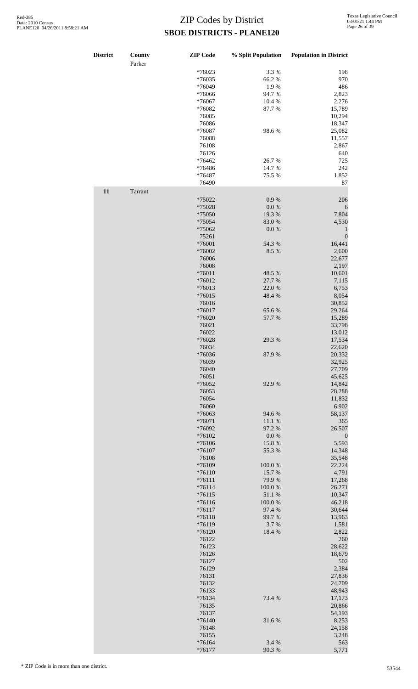| <b>District</b> | <b>County</b><br>Parker | <b>ZIP</b> Code | % Split Population | <b>Population in District</b> |
|-----------------|-------------------------|-----------------|--------------------|-------------------------------|
|                 |                         | $*76023$        | 3.3 %              | 198                           |
|                 |                         | *76035          | 66.2%              | 970                           |
|                 |                         | *76049          | 1.9%               | 486                           |
|                 |                         | *76066          | 94.7%              | 2,823                         |
|                 |                         | *76067          | 10.4%              | 2,276                         |
|                 |                         |                 |                    |                               |
|                 |                         | *76082          | 87.7%              | 15,789                        |
|                 |                         | 76085           |                    | 10,294                        |
|                 |                         | 76086           |                    | 18,347                        |
|                 |                         | *76087          | 98.6%              | 25,082                        |
|                 |                         | 76088           |                    | 11,557                        |
|                 |                         | 76108           |                    | 2,867                         |
|                 |                         | 76126           |                    | 640                           |
|                 |                         | *76462          | 26.7%              | 725                           |
|                 |                         | *76486          | 14.7%              | 242                           |
|                 |                         | *76487          | 75.5 %             | 1,852                         |
|                 |                         | 76490           |                    | 87                            |
| 11              |                         |                 |                    |                               |
|                 | Tarrant                 |                 |                    |                               |
|                 |                         | *75022          | 0.9 %              | 206                           |
|                 |                         | *75028          | $0.0\ \%$          | 6                             |
|                 |                         | *75050          | 19.3 %             | 7,804                         |
|                 |                         | *75054          | 83.0%              | 4,530                         |
|                 |                         | *75062          | $0.0\ \%$          | $\mathbf{1}$                  |
|                 |                         | 75261           |                    | $\boldsymbol{0}$              |
|                 |                         | *76001          | 54.3 %             | 16,441                        |
|                 |                         | *76002          | 8.5 %              | 2,600                         |
|                 |                         | 76006           |                    | 22,677                        |
|                 |                         | 76008           |                    | 2,197                         |
|                 |                         |                 |                    |                               |
|                 |                         | $*76011$        | 48.5 %             | 10,601                        |
|                 |                         | *76012          | 27.7 %             | 7,115                         |
|                 |                         | *76013          | 22.0 %             | 6,753                         |
|                 |                         | $*76015$        | 48.4%              | 8,054                         |
|                 |                         | 76016           |                    | 30,852                        |
|                 |                         | $*76017$        | 65.6%              | 29,264                        |
|                 |                         | *76020          | 57.7 %             | 15,289                        |
|                 |                         | 76021           |                    | 33,798                        |
|                 |                         | 76022           |                    | 13,012                        |
|                 |                         | *76028          | 29.3 %             | 17,534                        |
|                 |                         | 76034           |                    | 22,620                        |
|                 |                         |                 |                    |                               |
|                 |                         | $*76036$        | $87.9\ \%$         | 20,332                        |
|                 |                         | 76039           |                    | 32,925                        |
|                 |                         | 76040           |                    | 27,709                        |
|                 |                         | 76051           |                    | 45,625                        |
|                 |                         | *76052          | 92.9%              | 14,842                        |
|                 |                         | 76053           |                    | 28,288                        |
|                 |                         | 76054           |                    | 11,832                        |
|                 |                         | 76060           |                    | 6,902                         |
|                 |                         | *76063          | 94.6%              | 58,137                        |
|                 |                         | *76071          | 11.1 %             | 365                           |
|                 |                         | *76092          | 97.2 %             | 26,507                        |
|                 |                         |                 |                    |                               |
|                 |                         | *76102          | $0.0\ \%$          | $\boldsymbol{0}$              |
|                 |                         | *76106          | 15.8%              | 5,593                         |
|                 |                         | *76107          | 55.3 %             | 14,348                        |
|                 |                         | 76108           |                    | 35,548                        |
|                 |                         | *76109          | 100.0%             | 22,224                        |
|                 |                         | $*76110$        | 15.7%              | 4,791                         |
|                 |                         | $*76111$        | 79.9%              | 17,268                        |
|                 |                         | $*76114$        | 100.0%             | 26,271                        |
|                 |                         | $*76115$        | 51.1 %             | 10,347                        |
|                 |                         | $*76116$        | 100.0%             | 46,218                        |
|                 |                         | $*76117$        | 97.4 %             | 30,644                        |
|                 |                         |                 |                    |                               |
|                 |                         | $*76118$        | 99.7%              | 13,963                        |
|                 |                         | *76119          | 3.7%               | 1,581                         |
|                 |                         | *76120          | 18.4%              | 2,822                         |
|                 |                         | 76122           |                    | 260                           |
|                 |                         | 76123           |                    | 28,622                        |
|                 |                         | 76126           |                    | 18,679                        |
|                 |                         | 76127           |                    | 502                           |
|                 |                         | 76129           |                    | 2,384                         |
|                 |                         | 76131           |                    | 27,836                        |
|                 |                         | 76132           |                    | 24,709                        |
|                 |                         |                 |                    |                               |
|                 |                         | 76133           |                    | 48,943                        |
|                 |                         | $*76134$        | 73.4 %             | 17,173                        |
|                 |                         | 76135           |                    | 20,866                        |
|                 |                         | 76137           |                    | 54,193                        |
|                 |                         | *76140          | 31.6%              | 8,253                         |
|                 |                         | 76148           |                    | 24,158                        |
|                 |                         | 76155           |                    | 3,248                         |
|                 |                         | $*76164$        | 3.4 %              | 563                           |
|                 |                         | *76177          | 90.3%              | 5,771                         |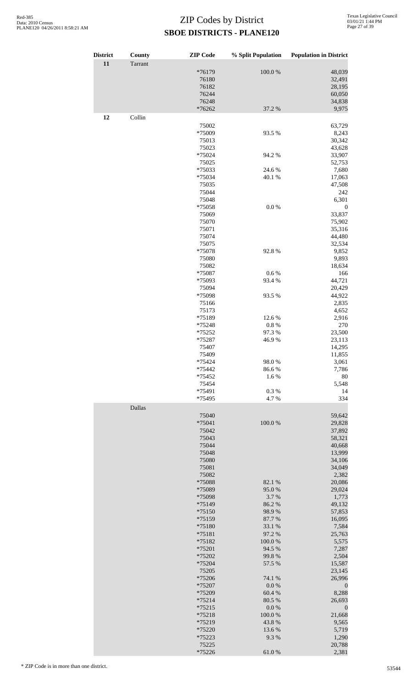| <b>District</b> | County  | <b>ZIP</b> Code    | % Split Population  | <b>Population in District</b> |
|-----------------|---------|--------------------|---------------------|-------------------------------|
| 11              | Tarrant |                    |                     |                               |
|                 |         | *76179             | 100.0%              | 48,039                        |
|                 |         | 76180              |                     | 32,491                        |
|                 |         | 76182<br>76244     |                     | 28,195<br>60,050              |
|                 |         | 76248              |                     | 34,838                        |
|                 |         | *76262             | 37.2 %              | 9,975                         |
| 12              | Collin  |                    |                     |                               |
|                 |         | 75002              |                     | 63,729                        |
|                 |         | *75009<br>75013    | 93.5 %              | 8,243<br>30,342               |
|                 |         | 75023              |                     | 43,628                        |
|                 |         | *75024             | 94.2 %              | 33,907                        |
|                 |         | 75025              |                     | 52,753<br>7,680               |
|                 |         | *75033<br>*75034   | 24.6 %<br>40.1 %    | 17,063                        |
|                 |         | 75035              |                     | 47,508                        |
|                 |         | 75044              |                     | 242                           |
|                 |         | 75048              | $0.0\ \%$           | 6,301                         |
|                 |         | *75058<br>75069    |                     | $\boldsymbol{0}$<br>33,837    |
|                 |         | 75070              |                     | 75,902                        |
|                 |         | 75071              |                     | 35,316                        |
|                 |         | 75074              |                     | 44,480                        |
|                 |         | 75075<br>*75078    | 92.8%               | 32,534<br>9,852               |
|                 |         | 75080              |                     | 9,893                         |
|                 |         | 75082              |                     | 18,634                        |
|                 |         | *75087             | 0.6%                | 166                           |
|                 |         | *75093<br>75094    | 93.4 %              | 44,721<br>20,429              |
|                 |         | *75098             | 93.5 %              | 44,922                        |
|                 |         | 75166              |                     | 2,835                         |
|                 |         | 75173              |                     | 4,652                         |
|                 |         | *75189<br>*75248   | 12.6 %<br>$0.8~\%$  | 2,916<br>270                  |
|                 |         | *75252             | 97.3%               | 23,500                        |
|                 |         | *75287             | 46.9%               | 23,113                        |
|                 |         | 75407              |                     | 14,295                        |
|                 |         | 75409              |                     | 11,855                        |
|                 |         | *75424<br>*75442   | 98.0%<br>86.6%      | 3,061<br>7,786                |
|                 |         | *75452             | 1.6%                | 80                            |
|                 |         | 75454              |                     | 5,548                         |
|                 |         | *75491             | $0.3~\%$            | 14                            |
|                 | Dallas  | *75495             | 4.7%                | 334                           |
|                 |         | 75040              |                     | 59,642                        |
|                 |         | *75041             | 100.0%              | 29,828                        |
|                 |         | 75042              |                     | 37,892                        |
|                 |         | 75043              |                     | 58,321                        |
|                 |         | 75044<br>75048     |                     | 40,668<br>13,999              |
|                 |         | 75080              |                     | 34,106                        |
|                 |         | 75081              |                     | 34,049                        |
|                 |         | 75082              |                     | 2,382                         |
|                 |         | *75088<br>*75089   | 82.1 %<br>95.0%     | 20,086<br>29,024              |
|                 |         | *75098             | 3.7%                | 1,773                         |
|                 |         | *75149             | 86.2%               | 49,132                        |
|                 |         | $*75150$           | 98.9%               | 57,853                        |
|                 |         | *75159             | 87.7%               | 16,095                        |
|                 |         | *75180<br>*75181   | 33.1 %<br>97.2 %    | 7,584<br>25,763               |
|                 |         | *75182             | 100.0%              | 5,575                         |
|                 |         | *75201             | 94.5 %              | 7,287                         |
|                 |         | *75202             | 99.8%               | 2,504                         |
|                 |         | *75204<br>75205    | 57.5 %              | 15,587<br>23,145              |
|                 |         | *75206             | 74.1 %              | 26,996                        |
|                 |         | *75207             | $0.0\ \%$           | $\boldsymbol{0}$              |
|                 |         | *75209             | 60.4 %              | 8,288                         |
|                 |         | $*75214$           | 80.5 %<br>$0.0\ \%$ | 26,693                        |
|                 |         | $*75215$<br>*75218 | 100.0%              | $\boldsymbol{0}$<br>21,668    |
|                 |         | *75219             | 43.8%               | 9,565                         |
|                 |         | *75220             | 13.6 %              | 5,719                         |
|                 |         | *75223             | 9.3%                | 1,290                         |
|                 |         | 75225<br>*75226    | 61.0%               | 20,788<br>2,381               |
|                 |         |                    |                     |                               |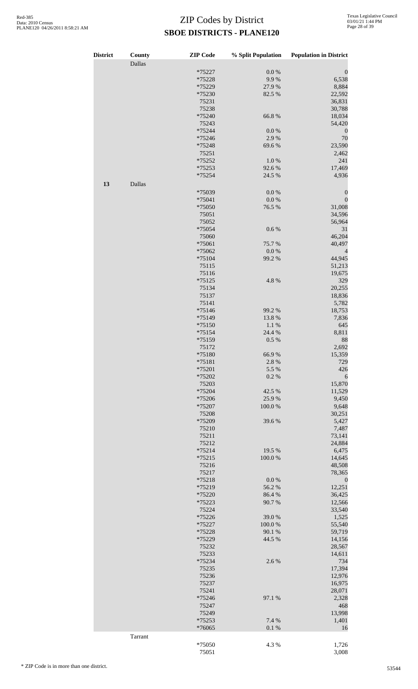| <b>District</b> | County  | <b>ZIP</b> Code | % Split Population | <b>Population in District</b> |
|-----------------|---------|-----------------|--------------------|-------------------------------|
|                 | Dallas  |                 |                    |                               |
|                 |         | *75227          | $0.0\ \%$          | $\boldsymbol{0}$              |
|                 |         | *75228          | 9.9%               | 6,538                         |
|                 |         | *75229          | 27.9%              | 8,884                         |
|                 |         | *75230          | 82.5 %             | 22,592                        |
|                 |         | 75231           |                    | 36,831                        |
|                 |         | 75238           |                    | 30,788                        |
|                 |         | *75240          | 66.8%              | 18,034                        |
|                 |         | 75243<br>*75244 | 0.0 %              | 54,420                        |
|                 |         | *75246          | 2.9%               | $\boldsymbol{0}$<br>70        |
|                 |         | *75248          | 69.6%              | 23,590                        |
|                 |         | 75251           |                    | 2,462                         |
|                 |         | *75252          | 1.0%               | 241                           |
|                 |         | *75253          | 92.6%              | 17,469                        |
|                 |         | *75254          | 24.5 %             | 4,936                         |
| 13              | Dallas  |                 |                    |                               |
|                 |         | *75039          | 0.0 %              | $\boldsymbol{0}$              |
|                 |         | *75041          | $0.0\ \%$          | $\boldsymbol{0}$              |
|                 |         | *75050          | 76.5 %             | 31,008                        |
|                 |         | 75051           |                    | 34,596                        |
|                 |         | 75052           |                    | 56,964                        |
|                 |         | *75054          | 0.6 %              | 31                            |
|                 |         | 75060           |                    | 46,204                        |
|                 |         | *75061          | 75.7%              | 40,497                        |
|                 |         | *75062          | $0.0\ \%$          | 4                             |
|                 |         | $*75104$        | 99.2 %             | 44,945                        |
|                 |         | 75115           |                    | 51,213                        |
|                 |         | 75116           |                    | 19,675                        |
|                 |         | $*75125$        | 4.8 %              | 329                           |
|                 |         | 75134<br>75137  |                    | 20,255                        |
|                 |         | 75141           |                    | 18,836<br>5,782               |
|                 |         | $*75146$        | 99.2 %             | 18,753                        |
|                 |         | *75149          | 13.8%              | 7,836                         |
|                 |         | *75150          | 1.1%               | 645                           |
|                 |         | *75154          | 24.4 %             | 8,811                         |
|                 |         | *75159          | 0.5 %              | 88                            |
|                 |         | 75172           |                    | 2,692                         |
|                 |         | *75180          | 66.9%              | 15,359                        |
|                 |         | $*75181$        | 2.8%               | 729                           |
|                 |         | *75201          | 5.5 %              | 426                           |
|                 |         | *75202          | 0.2 %              | 6                             |
|                 |         | 75203           |                    | 15,870                        |
|                 |         | *75204          | 42.5 %             | 11,529                        |
|                 |         | *75206          | 25.9%              | 9,450                         |
|                 |         | *75207          | 100.0%             | 9,648                         |
|                 |         | 75208           |                    | 30,251                        |
|                 |         | *75209          | 39.6%              | 5,427                         |
|                 |         | 75210<br>75211  |                    | 7,487<br>73,141               |
|                 |         | 75212           |                    | 24,884                        |
|                 |         | $*75214$        | 19.5 %             | 6,475                         |
|                 |         | $*75215$        | 100.0%             | 14,645                        |
|                 |         | 75216           |                    | 48,508                        |
|                 |         | 75217           |                    | 78,365                        |
|                 |         | *75218          | 0.0 %              | $\boldsymbol{0}$              |
|                 |         | *75219          | 56.2%              | 12,251                        |
|                 |         | *75220          | 86.4%              | 36,425                        |
|                 |         | *75223          | 90.7%              | 12,566                        |
|                 |         | 75224           |                    | 33,540                        |
|                 |         | *75226          | 39.0 %             | 1,525                         |
|                 |         | *75227          | 100.0%             | 55,540                        |
|                 |         | *75228          | 90.1 %             | 59,719                        |
|                 |         | *75229          | 44.5 %             | 14,156                        |
|                 |         | 75232           |                    | 28,567                        |
|                 |         | 75233<br>*75234 | 2.6%               | 14,611<br>734                 |
|                 |         | 75235           |                    | 17,394                        |
|                 |         | 75236           |                    | 12,976                        |
|                 |         | 75237           |                    | 16,975                        |
|                 |         | 75241           |                    | 28,071                        |
|                 |         | *75246          | 97.1 %             | 2,328                         |
|                 |         | 75247           |                    | 468                           |
|                 |         | 75249           |                    | 13,998                        |
|                 |         | *75253          | 7.4 %              | 1,401                         |
|                 |         | *76065          | 0.1 %              | 16                            |
|                 | Tarrant |                 |                    |                               |
|                 |         | *75050          | 4.3 %              | 1,726                         |
|                 |         | 75051           |                    | 3,008                         |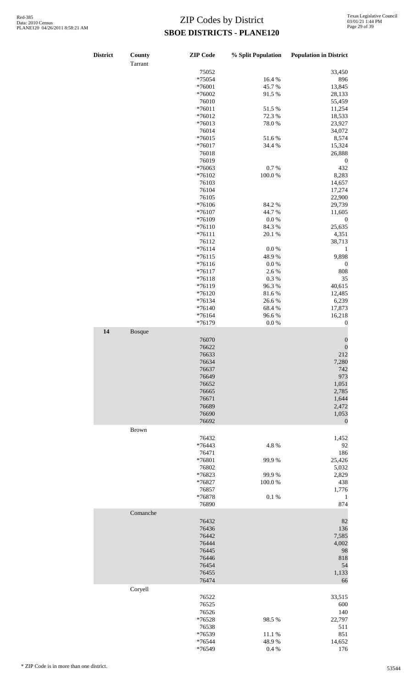| <b>District</b> | County       | <b>ZIP</b> Code | % Split Population | <b>Population in District</b> |
|-----------------|--------------|-----------------|--------------------|-------------------------------|
|                 | Tarrant      |                 |                    |                               |
|                 |              | 75052           |                    | 33,450                        |
|                 |              | *75054          | 16.4%              | 896                           |
|                 |              | *76001          | 45.7%              | 13,845                        |
|                 |              | *76002          | 91.5%              | 28,133                        |
|                 |              | 76010           |                    | 55,459                        |
|                 |              | $*76011$        | 51.5%              | 11,254                        |
|                 |              | *76012          | 72.3 %             | 18,533                        |
|                 |              | *76013          | 78.0%              | 23,927                        |
|                 |              | 76014           |                    | 34,072                        |
|                 |              | $*76015$        | 51.6%              | 8,574                         |
|                 |              | $*76017$        | 34.4 %             | 15,324                        |
|                 |              | 76018           |                    | 26,888                        |
|                 |              | 76019           |                    | $\boldsymbol{0}$              |
|                 |              | *76063          | 0.7%               | 432                           |
|                 |              |                 |                    |                               |
|                 |              | *76102          | 100.0%             | 8,283                         |
|                 |              | 76103           |                    | 14,657                        |
|                 |              | 76104           |                    | 17,274                        |
|                 |              | 76105           |                    | 22,900                        |
|                 |              | *76106          | 84.2 %             | 29,739                        |
|                 |              | $*76107$        | 44.7%              | 11,605                        |
|                 |              | *76109          | 0.0 %              | $\boldsymbol{0}$              |
|                 |              | $*76110$        | 84.3 %             | 25,635                        |
|                 |              | $*76111$        | 20.1 %             | 4,351                         |
|                 |              | 76112           |                    | 38,713                        |
|                 |              | $*76114$        | $0.0\%$            | $\mathbf{1}$                  |
|                 |              | $*76115$        | 48.9%              | 9,898                         |
|                 |              | $*76116$        | $0.0\ \%$          | $\boldsymbol{0}$              |
|                 |              | $*76117$        | 2.6%               | $808\,$                       |
|                 |              | $*76118$        | 0.3%               | $35\,$                        |
|                 |              | *76119          | 96.3%              | 40,615                        |
|                 |              | *76120          | 81.6%              | 12,485                        |
|                 |              | $*76134$        | 26.6%              | 6,239                         |
|                 |              | $*76140$        | 68.4%              | 17,873                        |
|                 |              | *76164          | 96.6%              | 16,218                        |
|                 |              | *76179          | $0.0\ \%$          | $\boldsymbol{0}$              |
|                 |              |                 |                    |                               |
| 14              | Bosque       | 76070           |                    | $\boldsymbol{0}$              |
|                 |              | 76622           |                    | $\boldsymbol{0}$              |
|                 |              | 76633           |                    | 212                           |
|                 |              | 76634           |                    | 7,280                         |
|                 |              | 76637           |                    | 742                           |
|                 |              | 76649           |                    | 973                           |
|                 |              | 76652           |                    | 1,051                         |
|                 |              | 76665           |                    | 2,785                         |
|                 |              | 76671           |                    | 1,644                         |
|                 |              | 76689           |                    | 2,472                         |
|                 |              | 76690           |                    |                               |
|                 |              | 76692           |                    | 1,053<br>$\mathbf{0}$         |
|                 | <b>Brown</b> |                 |                    |                               |
|                 |              | 76432           |                    | 1,452                         |
|                 |              |                 | 4.8%               |                               |
|                 |              | *76443          |                    | 92<br>186                     |
|                 |              | 76471           |                    |                               |
|                 |              | *76801          | 99.9%              | 25,426                        |
|                 |              | 76802           |                    | 5,032                         |
|                 |              | *76823          | 99.9%              | 2,829                         |
|                 |              | *76827          | 100.0%             | 438                           |
|                 |              | 76857           |                    | 1,776                         |
|                 |              | *76878          | 0.1 %              | $\mathbf{1}$                  |
|                 |              | 76890           |                    | 874                           |
|                 | Comanche     |                 |                    |                               |
|                 |              | 76432           |                    | 82                            |
|                 |              | 76436           |                    | 136                           |
|                 |              | 76442           |                    | 7,585                         |
|                 |              | 76444           |                    | 4,002                         |
|                 |              | 76445           |                    | 98                            |
|                 |              | 76446           |                    | 818                           |
|                 |              | 76454           |                    | 54                            |
|                 |              | 76455           |                    | 1,133                         |
|                 |              | 76474           |                    | 66                            |
|                 | Coryell      |                 |                    |                               |
|                 |              | 76522           |                    | 33,515                        |
|                 |              | 76525           |                    | 600                           |
|                 |              | 76526           |                    | 140                           |
|                 |              | *76528          | 98.5%              | 22,797                        |
|                 |              | 76538           |                    | 511                           |
|                 |              | *76539          | 11.1 %             | 851                           |
|                 |              | *76544          | 48.9 %             | 14,652                        |
|                 |              | *76549          | 0.4 %              | 176                           |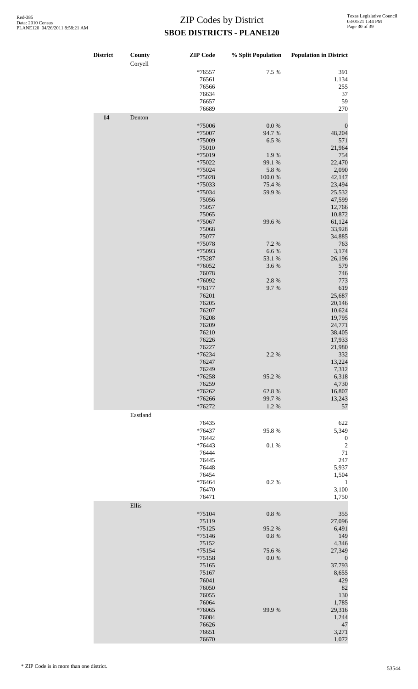| <b>District</b> | County<br>Coryell | <b>ZIP</b> Code            | % Split Population | <b>Population in District</b> |
|-----------------|-------------------|----------------------------|--------------------|-------------------------------|
|                 |                   | $*76557$<br>76561<br>76566 | 7.5 %              | 391<br>1,134<br>255           |
|                 |                   | 76634                      |                    | 37                            |
|                 |                   | 76657<br>76689             |                    | 59<br>270                     |
| 14              | Denton            |                            |                    |                               |
|                 |                   | *75006                     | 0.0 %              | $\boldsymbol{0}$              |
|                 |                   | *75007                     | 94.7%              | 48,204                        |
|                 |                   | *75009<br>75010            | 6.5 %              | 571<br>21,964                 |
|                 |                   | *75019                     | 1.9%               | 754                           |
|                 |                   | *75022                     | 99.1 %             | 22,470                        |
|                 |                   | *75024<br>*75028           | 5.8%<br>100.0%     | 2,090<br>42,147               |
|                 |                   | *75033                     | 75.4 %             | 23,494                        |
|                 |                   | *75034                     | 59.9%              | 25,532                        |
|                 |                   | 75056                      |                    | 47,599<br>12,766              |
|                 |                   | 75057<br>75065             |                    | 10,872                        |
|                 |                   | *75067                     | 99.6%              | 61,124                        |
|                 |                   | 75068                      |                    | 33,928                        |
|                 |                   | 75077<br>*75078            | 7.2 %              | 34,885<br>763                 |
|                 |                   | *75093                     | 6.6%               | 3,174                         |
|                 |                   | *75287                     | 53.1 %             | 26,196                        |
|                 |                   | *76052<br>76078            | 3.6%               | 579<br>746                    |
|                 |                   | *76092                     | 2.8%               | 773                           |
|                 |                   | $*76177$                   | 9.7%               | 619                           |
|                 |                   | 76201<br>76205             |                    | 25,687<br>20,146              |
|                 |                   | 76207                      |                    | 10,624                        |
|                 |                   | 76208                      |                    | 19,795                        |
|                 |                   | 76209<br>76210             |                    | 24,771<br>38,405              |
|                 |                   | 76226                      |                    | 17,933                        |
|                 |                   | 76227                      |                    | 21,980                        |
|                 |                   | $*76234$<br>76247          | 2.2 %              | 332<br>13,224                 |
|                 |                   | 76249                      |                    | 7,312                         |
|                 |                   | *76258                     | 95.2%              | 6,318                         |
|                 |                   | 76259<br>*76262            | 62.8%              | 4,730<br>16,807               |
|                 |                   | *76266                     | 99.7%              | 13,243                        |
|                 |                   | *76272                     | 1.2%               | 57                            |
|                 | Eastland          | 76435                      |                    | 622                           |
|                 |                   | *76437                     | 95.8%              | 5,349                         |
|                 |                   | 76442                      |                    | $\boldsymbol{0}$              |
|                 |                   | *76443<br>76444            | 0.1 %              | $\overline{c}$<br>71          |
|                 |                   | 76445                      |                    | 247                           |
|                 |                   | 76448                      |                    | 5,937                         |
|                 |                   | 76454<br>*76464            | 0.2%               | 1,504<br>1                    |
|                 |                   | 76470                      |                    | 3,100                         |
|                 |                   | 76471                      |                    | 1,750                         |
|                 | Ellis             | $*75104$                   | 0.8 %              | 355                           |
|                 |                   | 75119                      |                    | 27,096                        |
|                 |                   | $*75125$                   | 95.2%              | 6,491                         |
|                 |                   | *75146<br>75152            | 0.8 %              | 149<br>4,346                  |
|                 |                   | $*75154$                   | 75.6%              | 27,349                        |
|                 |                   | *75158                     | 0.0 %              | $\boldsymbol{0}$              |
|                 |                   | 75165<br>75167             |                    | 37,793<br>8,655               |
|                 |                   | 76041                      |                    | 429                           |
|                 |                   | 76050                      |                    | 82                            |
|                 |                   | 76055<br>76064             |                    | 130<br>1,785                  |
|                 |                   | *76065                     | 99.9%              | 29,316                        |
|                 |                   | 76084                      |                    | 1,244                         |
|                 |                   | 76626<br>76651             |                    | 47<br>3,271                   |
|                 |                   | 76670                      |                    | 1,072                         |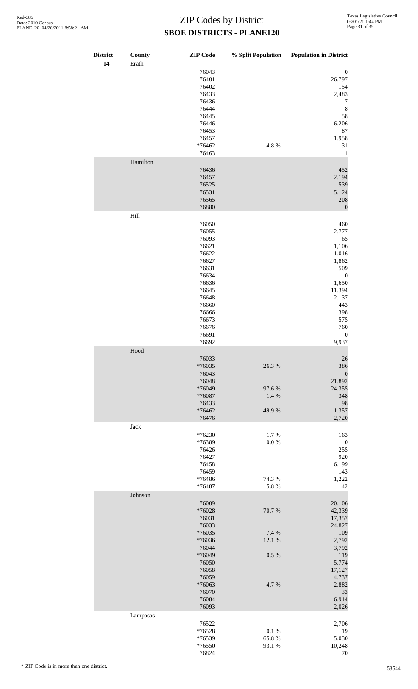| <b>District</b><br>14 | County<br>Erath                                                                                         | <b>ZIP</b> Code                                                                                                                                       | % Split Population                        | <b>Population in District</b>                                                                                                                                 |
|-----------------------|---------------------------------------------------------------------------------------------------------|-------------------------------------------------------------------------------------------------------------------------------------------------------|-------------------------------------------|---------------------------------------------------------------------------------------------------------------------------------------------------------------|
|                       |                                                                                                         | 76043<br>76401<br>76402<br>76433<br>76436<br>76444<br>76445<br>76446<br>76453<br>76457<br>*76462                                                      | 4.8%                                      | $\boldsymbol{0}$<br>26,797<br>154<br>2,483<br>7<br>$\,$ 8 $\,$<br>58<br>6,206<br>87<br>1,958<br>131                                                           |
|                       |                                                                                                         | 76463                                                                                                                                                 |                                           | $\mathbf{1}$                                                                                                                                                  |
|                       | Hamilton                                                                                                | 76436<br>76457<br>76525<br>76531<br>76565<br>76880                                                                                                    |                                           | 452<br>2,194<br>539<br>5,124<br>208<br>$\mathbf{0}$                                                                                                           |
|                       | Hill                                                                                                    |                                                                                                                                                       |                                           |                                                                                                                                                               |
|                       |                                                                                                         | 76050<br>76055<br>76093<br>76621<br>76622<br>76627<br>76631<br>76634<br>76636<br>76645<br>76648<br>76660<br>76666<br>76673<br>76676<br>76691<br>76692 |                                           | 460<br>2,777<br>65<br>1,106<br>1,016<br>1,862<br>509<br>$\boldsymbol{0}$<br>1,650<br>11,394<br>2,137<br>443<br>398<br>575<br>760<br>$\boldsymbol{0}$<br>9,937 |
|                       | $\operatorname*{Hood}% \nolimits_{\mathbb{Z}}\left( \mathbb{Z}^{\Sigma\left( 1\right) }\right) ^{\ast}$ |                                                                                                                                                       |                                           |                                                                                                                                                               |
|                       |                                                                                                         | 76033<br>$*76035$<br>76043<br>76048<br>*76049<br>*76087<br>76433<br>*76462<br>76476                                                                   | 26.3 %<br>97.6%<br>1.4 %<br>49.9%         | 26<br>386<br>$\boldsymbol{0}$<br>21,892<br>24,355<br>348<br>98<br>1,357<br>2,720                                                                              |
|                       | Jack                                                                                                    |                                                                                                                                                       |                                           |                                                                                                                                                               |
|                       |                                                                                                         | *76230<br>*76389<br>76426<br>76427<br>76458<br>76459<br>*76486<br>*76487                                                                              | 1.7%<br>$0.0\ \%$<br>74.3 %<br>5.8 %      | 163<br>$\boldsymbol{0}$<br>255<br>920<br>6,199<br>143<br>1,222<br>142                                                                                         |
|                       | Johnson                                                                                                 |                                                                                                                                                       |                                           |                                                                                                                                                               |
|                       |                                                                                                         | 76009<br>*76028<br>76031<br>76033<br>*76035<br>*76036<br>76044<br>*76049<br>76050<br>76058<br>76059<br>*76063                                         | 70.7%<br>7.4 %<br>12.1 %<br>0.5 %<br>4.7% | 20,106<br>42,339<br>17,357<br>24,827<br>109<br>2,792<br>3,792<br>119<br>5,774<br>17,127<br>4,737<br>2,882                                                     |
|                       |                                                                                                         | 76070<br>76084                                                                                                                                        |                                           | 33<br>6,914                                                                                                                                                   |
|                       |                                                                                                         | 76093                                                                                                                                                 |                                           | 2,026                                                                                                                                                         |
|                       | Lampasas                                                                                                | 76522                                                                                                                                                 |                                           | 2,706                                                                                                                                                         |
|                       |                                                                                                         | *76528<br>*76539                                                                                                                                      | $0.1~\%$<br>65.8%                         | 19<br>5,030                                                                                                                                                   |
|                       |                                                                                                         | $*76550$<br>76824                                                                                                                                     | 93.1%                                     | 10,248<br>70                                                                                                                                                  |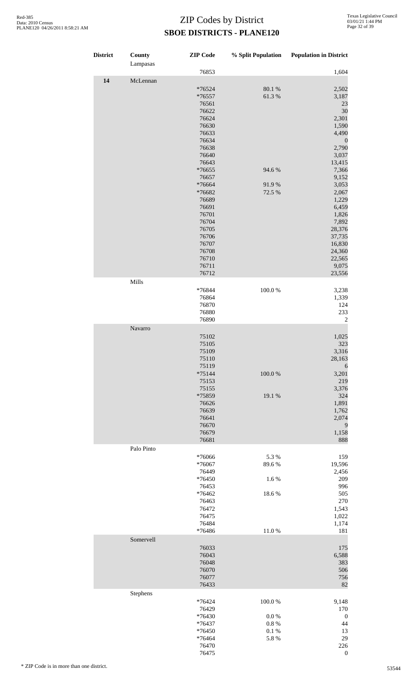| <b>District</b> | County<br>Lampasas | <b>ZIP</b> Code                                                                                                                                                                                                                             | % Split Population                                | <b>Population in District</b>                                                                                                                                                                                                                      |
|-----------------|--------------------|---------------------------------------------------------------------------------------------------------------------------------------------------------------------------------------------------------------------------------------------|---------------------------------------------------|----------------------------------------------------------------------------------------------------------------------------------------------------------------------------------------------------------------------------------------------------|
|                 |                    | 76853                                                                                                                                                                                                                                       |                                                   | 1,604                                                                                                                                                                                                                                              |
| 14              | McLennan           | *76524<br>*76557<br>76561<br>76622<br>76624<br>76630<br>76633<br>76634<br>76638<br>76640<br>76643<br>*76655<br>76657<br>*76664<br>*76682<br>76689<br>76691<br>76701<br>76704<br>76705<br>76706<br>76707<br>76708<br>76710<br>76711<br>76712 | 80.1 %<br>61.3%<br>94.6%<br>91.9%<br>72.5 %       | 2,502<br>3,187<br>23<br>30<br>2,301<br>1,590<br>4,490<br>$\boldsymbol{0}$<br>2,790<br>3,037<br>13,415<br>7,366<br>9,152<br>3,053<br>2,067<br>1,229<br>6,459<br>1,826<br>7,892<br>28,376<br>37,735<br>16,830<br>24,360<br>22,565<br>9,075<br>23,556 |
|                 | Mills              |                                                                                                                                                                                                                                             |                                                   |                                                                                                                                                                                                                                                    |
|                 |                    | *76844<br>76864<br>76870<br>76880<br>76890                                                                                                                                                                                                  | 100.0%                                            | 3,238<br>1,339<br>124<br>233<br>$\sqrt{2}$                                                                                                                                                                                                         |
|                 | Navarro            |                                                                                                                                                                                                                                             |                                                   |                                                                                                                                                                                                                                                    |
|                 |                    | 75102<br>75105<br>75109<br>75110<br>75119<br>$*75144$<br>75153<br>75155<br>*75859<br>76626<br>76639<br>76641<br>76670<br>76679<br>76681                                                                                                     | 100.0%<br>19.1 %                                  | 1,025<br>323<br>3,316<br>28,163<br>6<br>3,201<br>219<br>3,376<br>324<br>1,891<br>1,762<br>2,074<br>9<br>1,158<br>888                                                                                                                               |
|                 | Palo Pinto         |                                                                                                                                                                                                                                             |                                                   |                                                                                                                                                                                                                                                    |
|                 |                    | *76066<br>*76067<br>76449<br>*76450<br>76453<br>*76462<br>76463<br>76472<br>76475<br>76484<br>*76486                                                                                                                                        | 5.3 %<br>89.6%<br>1.6%<br>18.6%<br>11.0%          | 159<br>19,596<br>2,456<br>209<br>996<br>505<br>270<br>1,543<br>1,022<br>1,174<br>181                                                                                                                                                               |
|                 | Somervell          | 76033<br>76043<br>76048<br>76070<br>76077<br>76433                                                                                                                                                                                          |                                                   | 175<br>6,588<br>383<br>506<br>756<br>82                                                                                                                                                                                                            |
|                 | Stephens           | *76424<br>76429<br>*76430<br>*76437<br>*76450<br>*76464<br>76470<br>76475                                                                                                                                                                   | 100.0%<br>0.0 %<br>$0.8~\%$<br>$0.1\ \%$<br>5.8 % | 9,148<br>170<br>$\boldsymbol{0}$<br>44<br>13<br>29<br>226<br>$\boldsymbol{0}$                                                                                                                                                                      |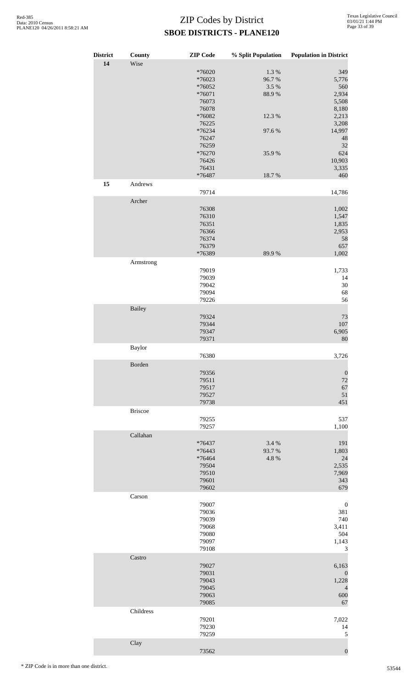| <b>District</b> | County         | <b>ZIP</b> Code  | % Split Population | <b>Population in District</b> |
|-----------------|----------------|------------------|--------------------|-------------------------------|
| 14              | Wise           |                  |                    |                               |
|                 |                | *76020           | 1.3%               | 349                           |
|                 |                | *76023<br>*76052 | 96.7%<br>3.5%      | 5,776<br>560                  |
|                 |                | *76071           | 88.9%              | 2,934                         |
|                 |                | 76073            |                    | 5,508                         |
|                 |                | 76078            |                    | 8,180                         |
|                 |                | *76082           | 12.3 %             | 2,213                         |
|                 |                | 76225            |                    | 3,208                         |
|                 |                | *76234<br>76247  | 97.6%              | 14,997<br>48                  |
|                 |                | 76259            |                    | 32                            |
|                 |                | *76270           | 35.9%              | 624                           |
|                 |                | 76426            |                    | 10,903                        |
|                 |                | 76431            |                    | 3,335                         |
|                 |                | *76487           | 18.7%              | 460                           |
| 15              | Andrews        |                  |                    |                               |
|                 |                | 79714            |                    | 14,786                        |
|                 | Archer         |                  |                    |                               |
|                 |                | 76308            |                    | 1,002                         |
|                 |                | 76310<br>76351   |                    | 1,547<br>1,835                |
|                 |                | 76366            |                    | 2,953                         |
|                 |                | 76374            |                    | 58                            |
|                 |                | 76379            |                    | 657                           |
|                 |                | *76389           | 89.9%              | 1,002                         |
|                 | Armstrong      |                  |                    |                               |
|                 |                | 79019            |                    | 1,733                         |
|                 |                | 79039            |                    | 14                            |
|                 |                | 79042<br>79094   |                    | $30\,$<br>68                  |
|                 |                | 79226            |                    | 56                            |
|                 | Bailey         |                  |                    |                               |
|                 |                | 79324            |                    | 73                            |
|                 |                | 79344            |                    | 107                           |
|                 |                | 79347            |                    | 6,905                         |
|                 |                | 79371            |                    | 80                            |
|                 | <b>Baylor</b>  |                  |                    |                               |
|                 |                | 76380            |                    | 3,726                         |
|                 | Borden         |                  |                    |                               |
|                 |                | 79356            |                    | $\boldsymbol{0}$              |
|                 |                | 79511            |                    | 72                            |
|                 |                | 79517            |                    | 67                            |
|                 |                | 79527<br>79738   |                    | 51<br>451                     |
|                 | <b>Briscoe</b> |                  |                    |                               |
|                 |                | 79255            |                    | 537                           |
|                 |                | 79257            |                    | 1,100                         |
|                 | Callahan       |                  |                    |                               |
|                 |                | *76437           | 3.4 %              | 191                           |
|                 |                | *76443           | 93.7%              | 1,803                         |
|                 |                | *76464           | 4.8%               | 24                            |
|                 |                | 79504            |                    | 2,535                         |
|                 |                | 79510            |                    | 7,969                         |
|                 |                | 79601            |                    | 343                           |
|                 |                | 79602            |                    | 679                           |
|                 | Carson         |                  |                    |                               |
|                 |                | 79007<br>79036   |                    | $\boldsymbol{0}$<br>381       |
|                 |                | 79039            |                    | 740                           |
|                 |                | 79068            |                    | 3,411                         |
|                 |                | 79080            |                    | 504                           |
|                 |                | 79097            |                    | 1,143                         |
|                 |                | 79108            |                    | 3                             |
|                 | Castro         |                  |                    |                               |
|                 |                | 79027            |                    | 6,163                         |
|                 |                | 79031<br>79043   |                    | $\boldsymbol{0}$<br>1,228     |
|                 |                | 79045            |                    | $\overline{4}$                |
|                 |                | 79063            |                    | 600                           |
|                 |                | 79085            |                    | 67                            |
|                 | Childress      |                  |                    |                               |
|                 |                | 79201            |                    | 7,022                         |
|                 |                | 79230            |                    | 14                            |
|                 |                | 79259            |                    | 5                             |
|                 | Clay           |                  |                    |                               |
|                 |                | 73562            |                    | $\boldsymbol{0}$              |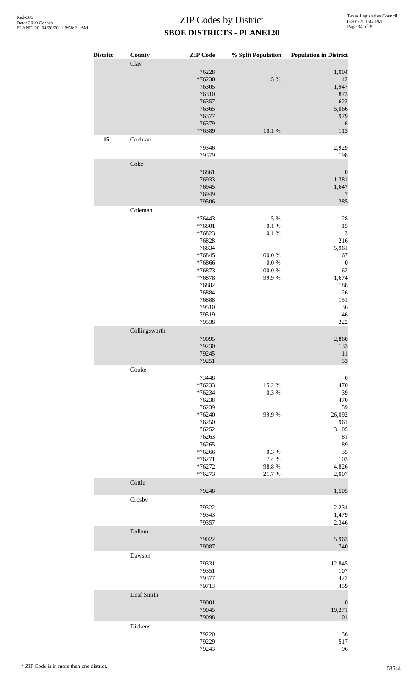| <b>District</b> | County        | <b>ZIP</b> Code    | % Split Population | <b>Population in District</b> |
|-----------------|---------------|--------------------|--------------------|-------------------------------|
|                 | Clay          |                    |                    |                               |
|                 |               | 76228              |                    | 1,004                         |
|                 |               | *76230<br>76305    | 1.5 %              | 142<br>1,947                  |
|                 |               | 76310              |                    | 873                           |
|                 |               | 76357              |                    | 622                           |
|                 |               | 76365              |                    | 5,066                         |
|                 |               | 76377<br>76379     |                    | 979                           |
|                 |               | *76389             | $10.1~\%$          | 6<br>113                      |
| 15              | Cochran       |                    |                    |                               |
|                 |               | 79346              |                    | 2,929                         |
|                 | Coke          | 79379              |                    | 198                           |
|                 |               | 76861              |                    | $\boldsymbol{0}$              |
|                 |               | 76933              |                    | 1,381                         |
|                 |               | 76945              |                    | 1,647                         |
|                 |               | 76949<br>79506     |                    | 7<br>285                      |
|                 | Coleman       |                    |                    |                               |
|                 |               | *76443             | 1.5 %              | 28                            |
|                 |               | *76801             | $0.1~\%$           | 15                            |
|                 |               | *76823             | $0.1~\%$           | $\ensuremath{\mathfrak{Z}}$   |
|                 |               | 76828<br>76834     |                    | 216<br>5,961                  |
|                 |               | *76845             | 100.0%             | 167                           |
|                 |               | *76866             | $0.0\ \%$          | $\boldsymbol{0}$              |
|                 |               | *76873             | $100.0~\%$         | 62                            |
|                 |               | *76878             | 99.9%              | 1,674                         |
|                 |               | 76882<br>76884     |                    | 188<br>126                    |
|                 |               | 76888              |                    | 151                           |
|                 |               | 79510              |                    | 36                            |
|                 |               | 79519              |                    | $46\,$                        |
|                 | Collingsworth | 79538              |                    | $222\,$                       |
|                 |               | 79095              |                    | 2,860                         |
|                 |               | 79230              |                    | 133                           |
|                 |               | 79245              |                    | 11                            |
|                 |               | 79251              |                    | 53                            |
|                 | Cooke         |                    |                    |                               |
|                 |               | 73448<br>*76233    | 15.2 %             | $\boldsymbol{0}$<br>470       |
|                 |               | *76234             | 0.3 %              | 39                            |
|                 |               | 76238              |                    | 470                           |
|                 |               | 76239              | 99.9%              | 159                           |
|                 |               | *76240<br>76250    |                    | 26,092<br>961                 |
|                 |               | 76252              |                    | 3,105                         |
|                 |               | 76263              |                    | 81                            |
|                 |               | 76265              |                    | 89                            |
|                 |               | *76266<br>$*76271$ | 0.3%<br>7.4 %      | 35<br>103                     |
|                 |               | *76272             | 98.8%              | 4,826                         |
|                 |               | *76273             | 21.7%              | 2,007                         |
|                 | Cottle        | 79248              |                    | 1,505                         |
|                 | Crosby        |                    |                    |                               |
|                 |               | 79322              |                    | 2,234                         |
|                 |               | 79343              |                    | 1,479                         |
|                 |               | 79357              |                    | 2,346                         |
|                 | Dallam        |                    |                    |                               |
|                 |               | 79022<br>79087     |                    | 5,963<br>740                  |
|                 | Dawson        |                    |                    |                               |
|                 |               | 79331              |                    | 12,845                        |
|                 |               | 79351<br>79377     |                    | 107                           |
|                 |               | 79713              |                    | 422<br>459                    |
|                 | Deaf Smith    |                    |                    |                               |
|                 |               | 79001              |                    | $\boldsymbol{0}$              |
|                 |               | 79045              |                    | 19,271                        |
|                 |               | 79098              |                    | 101                           |
|                 | Dickens       | 79220              |                    | 136                           |
|                 |               | 79229              |                    | 517                           |
|                 |               | 79243              |                    | 96                            |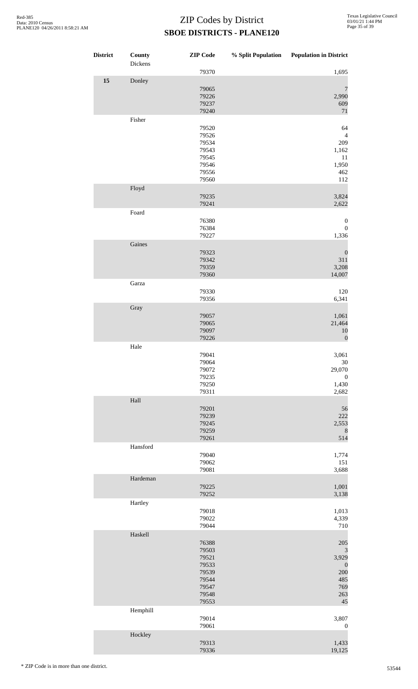| <b>District</b> | County<br>Dickens | <b>ZIP</b> Code | % Split Population | <b>Population in District</b> |
|-----------------|-------------------|-----------------|--------------------|-------------------------------|
|                 |                   | 79370           |                    | 1,695                         |
| 15              | Donley            |                 |                    |                               |
|                 |                   | 79065           |                    | $\overline{7}$                |
|                 |                   | 79226<br>79237  |                    | 2,990<br>609                  |
|                 |                   | 79240           |                    | $71\,$                        |
|                 | Fisher            |                 |                    |                               |
|                 |                   | 79520           |                    | 64                            |
|                 |                   | 79526           |                    | $\overline{4}$                |
|                 |                   | 79534<br>79543  |                    | 209<br>1,162                  |
|                 |                   | 79545           |                    | 11                            |
|                 |                   | 79546           |                    | 1,950                         |
|                 |                   | 79556           |                    | 462                           |
|                 |                   | 79560           |                    | 112                           |
|                 | Floyd             | 79235           |                    | 3,824                         |
|                 |                   | 79241           |                    | 2,622                         |
|                 | Foard             |                 |                    |                               |
|                 |                   | 76380           |                    | $\boldsymbol{0}$              |
|                 |                   | 76384           |                    | $\boldsymbol{0}$              |
|                 |                   | 79227           |                    | 1,336                         |
|                 | Gaines            | 79323           |                    |                               |
|                 |                   | 79342           |                    | $\boldsymbol{0}$<br>311       |
|                 |                   | 79359           |                    | 3,208                         |
|                 |                   | 79360           |                    | 14,007                        |
|                 | Garza             |                 |                    |                               |
|                 |                   | 79330           |                    | 120                           |
|                 | Gray              | 79356           |                    | 6,341                         |
|                 |                   | 79057           |                    | 1,061                         |
|                 |                   | 79065           |                    | 21,464                        |
|                 |                   | 79097           |                    | 10                            |
|                 |                   | 79226           |                    | $\boldsymbol{0}$              |
|                 | Hale              |                 |                    |                               |
|                 |                   | 79041<br>79064  |                    | 3,061<br>$30\,$               |
|                 |                   | 79072           |                    | 29,070                        |
|                 |                   | 79235           |                    | $\boldsymbol{0}$              |
|                 |                   | 79250           |                    | 1,430                         |
|                 | Hall              | 79311           |                    | 2,682                         |
|                 |                   | 79201           |                    | 56                            |
|                 |                   | 79239           |                    | 222                           |
|                 |                   | 79245           |                    | 2,553                         |
|                 |                   | 79259           |                    | 8                             |
|                 | Hansford          | 79261           |                    | 514                           |
|                 |                   | 79040           |                    | 1,774                         |
|                 |                   | 79062           |                    | 151                           |
|                 |                   | 79081           |                    | 3,688                         |
|                 | Hardeman          |                 |                    |                               |
|                 |                   | 79225<br>79252  |                    | 1,001<br>3,138                |
|                 | Hartley           |                 |                    |                               |
|                 |                   | 79018           |                    | 1,013                         |
|                 |                   | 79022           |                    | 4,339                         |
|                 |                   | 79044           |                    | 710                           |
|                 | Haskell           |                 |                    |                               |
|                 |                   | 76388           |                    | 205                           |
|                 |                   | 79503<br>79521  |                    | 3<br>3,929                    |
|                 |                   | 79533           |                    | $\boldsymbol{0}$              |
|                 |                   | 79539           |                    | 200                           |
|                 |                   | 79544<br>79547  |                    | 485<br>769                    |
|                 |                   | 79548           |                    | 263                           |
|                 |                   | 79553           |                    | 45                            |
|                 | Hemphill          |                 |                    |                               |
|                 |                   | 79014           |                    | 3,807                         |
|                 |                   | 79061           |                    | $\boldsymbol{0}$              |
|                 | Hockley           | 79313           |                    | 1,433                         |
|                 |                   | 79336           |                    | 19,125                        |
|                 |                   |                 |                    |                               |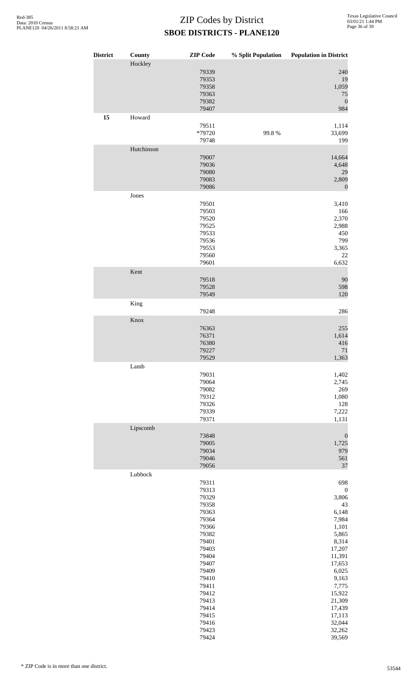| <b>District</b> | County     | <b>ZIP</b> Code                                                                                                                                                                                    | % Split Population | <b>Population in District</b>                                                                                                                                                                                      |
|-----------------|------------|----------------------------------------------------------------------------------------------------------------------------------------------------------------------------------------------------|--------------------|--------------------------------------------------------------------------------------------------------------------------------------------------------------------------------------------------------------------|
|                 | Hockley    | 79339<br>79353<br>79358<br>79363<br>79382<br>79407                                                                                                                                                 |                    | 240<br>19<br>1,059<br>75<br>$\mathbf{0}$<br>984                                                                                                                                                                    |
| 15              | Howard     | 79511<br>*79720<br>79748                                                                                                                                                                           | 99.8%              | 1,114<br>33,699<br>199                                                                                                                                                                                             |
|                 | Hutchinson | 79007<br>79036<br>79080<br>79083<br>79086                                                                                                                                                          |                    | 14,664<br>4,648<br>29<br>2,809<br>$\mathbf{0}$                                                                                                                                                                     |
|                 | Jones      | 79501<br>79503<br>79520<br>79525<br>79533<br>79536<br>79553<br>79560                                                                                                                               |                    | 3,410<br>166<br>2,370<br>2,988<br>450<br>799<br>3,365<br>22                                                                                                                                                        |
|                 | Kent       | 79601<br>79518<br>79528<br>79549                                                                                                                                                                   |                    | 6,632<br>90<br>598<br>120                                                                                                                                                                                          |
|                 | King       | 79248                                                                                                                                                                                              |                    | 286                                                                                                                                                                                                                |
|                 | Knox       | 76363<br>76371<br>76380<br>79227<br>79529                                                                                                                                                          |                    | 255<br>1,614<br>416<br>$71\,$<br>1,363                                                                                                                                                                             |
|                 | Lamb       | 79031<br>79064<br>79082<br>79312<br>79326<br>79339<br>79371                                                                                                                                        |                    | 1,402<br>2,745<br>269<br>1,080<br>128<br>7,222<br>1,131                                                                                                                                                            |
|                 | Lipscomb   | 73848<br>79005<br>79034<br>79046<br>79056                                                                                                                                                          |                    | $\boldsymbol{0}$<br>1,725<br>979<br>561<br>37                                                                                                                                                                      |
|                 | Lubbock    | 79311<br>79313<br>79329<br>79358<br>79363<br>79364<br>79366<br>79382<br>79401<br>79403<br>79404<br>79407<br>79409<br>79410<br>79411<br>79412<br>79413<br>79414<br>79415<br>79416<br>79423<br>79424 |                    | 698<br>$\boldsymbol{0}$<br>3,806<br>43<br>6,148<br>7,984<br>1,101<br>5,865<br>8,314<br>17,207<br>11,391<br>17,653<br>6,025<br>9,163<br>7,775<br>15,922<br>21,309<br>17,439<br>17,113<br>32,044<br>32,262<br>39,569 |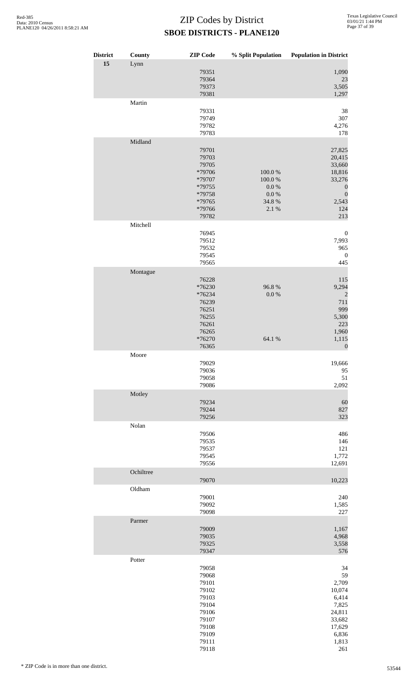| <b>District</b> | County    | <b>ZIP</b> Code                                                                                          | % Split Population                                          | <b>Population in District</b>                                                                                 |
|-----------------|-----------|----------------------------------------------------------------------------------------------------------|-------------------------------------------------------------|---------------------------------------------------------------------------------------------------------------|
| 15              | Lynn      | 79351<br>79364<br>79373<br>79381                                                                         |                                                             | 1,090<br>23<br>3,505<br>1,297                                                                                 |
|                 | Martin    | 79331<br>79749<br>79782<br>79783                                                                         |                                                             | 38<br>307<br>4,276<br>178                                                                                     |
|                 | Midland   | 79701<br>79703<br>79705<br>*79706<br>*79707<br>*79755<br>*79758<br>*79765<br>*79766<br>79782             | $100.0~\%$<br>100.0%<br>0.0 %<br>$0.0\ \%$<br>34.8%<br>2.1% | 27,825<br>20,415<br>33,660<br>18,816<br>33,276<br>$\boldsymbol{0}$<br>$\boldsymbol{0}$<br>2,543<br>124<br>213 |
|                 | Mitchell  | 76945<br>79512<br>79532<br>79545                                                                         |                                                             | $\boldsymbol{0}$<br>7,993<br>965<br>$\boldsymbol{0}$                                                          |
|                 | Montague  | 79565<br>76228<br>*76230<br>*76234<br>76239<br>76251<br>76255<br>76261<br>76265<br>*76270<br>76365       | 96.8%<br>$0.0\ \%$<br>64.1 %                                | 445<br>115<br>9,294<br>$\overline{c}$<br>711<br>999<br>5,300<br>223<br>1,960<br>1,115<br>$\boldsymbol{0}$     |
|                 | Moore     | 79029<br>79036<br>79058<br>79086                                                                         |                                                             | 19,666<br>95<br>51<br>2,092                                                                                   |
|                 | Motley    | 79234<br>79244<br>79256                                                                                  |                                                             | 60<br>827<br>323                                                                                              |
|                 | Nolan     | 79506<br>79535<br>79537<br>79545<br>79556                                                                |                                                             | 486<br>146<br>121<br>1,772<br>12,691                                                                          |
|                 | Ochiltree | 79070                                                                                                    |                                                             | 10,223                                                                                                        |
|                 | Oldham    | 79001<br>79092<br>79098                                                                                  |                                                             | 240<br>1,585<br>227                                                                                           |
|                 | Parmer    | 79009<br>79035<br>79325<br>79347                                                                         |                                                             | 1,167<br>4,968<br>3,558<br>576                                                                                |
|                 | Potter    | 79058<br>79068<br>79101<br>79102<br>79103<br>79104<br>79106<br>79107<br>79108<br>79109<br>79111<br>79118 |                                                             | 34<br>59<br>2,709<br>10,074<br>6,414<br>7,825<br>24,811<br>33,682<br>17,629<br>6,836<br>1,813<br>261          |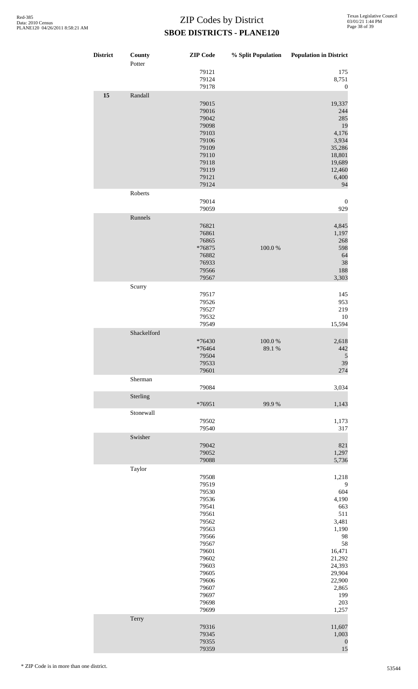| <b>District</b> | County<br>Potter | <b>ZIP</b> Code                                                                                                                                                         |                      | % Split Population Population in District                                                                                                                |
|-----------------|------------------|-------------------------------------------------------------------------------------------------------------------------------------------------------------------------|----------------------|----------------------------------------------------------------------------------------------------------------------------------------------------------|
|                 |                  | 79121<br>79124<br>79178                                                                                                                                                 |                      | 175<br>8,751<br>$\boldsymbol{0}$                                                                                                                         |
| 15              | Randall          | 79015<br>79016<br>79042<br>79098<br>79103<br>79106<br>79109<br>79110<br>79118<br>79119<br>79121<br>79124                                                                |                      | 19,337<br>244<br>285<br>19<br>4,176<br>3,934<br>35,286<br>18,801<br>19,689<br>12,460<br>6,400<br>94                                                      |
|                 | Roberts          | 79014<br>79059                                                                                                                                                          |                      | $\boldsymbol{0}$<br>929                                                                                                                                  |
|                 | Runnels          | 76821<br>76861<br>76865<br>*76875<br>76882<br>76933<br>79566<br>79567                                                                                                   | 100.0%               | 4,845<br>1,197<br>268<br>598<br>64<br>38<br>188<br>3,303                                                                                                 |
|                 | Scurry           | 79517<br>79526<br>79527<br>79532<br>79549                                                                                                                               |                      | 145<br>953<br>219<br>10<br>15,594                                                                                                                        |
|                 | Shackelford      | *76430<br>*76464<br>79504<br>79533<br>79601                                                                                                                             | $100.0~\%$<br>89.1 % | 2,618<br>442<br>$\sqrt{5}$<br>39<br>274                                                                                                                  |
|                 | Sherman          | 79084                                                                                                                                                                   |                      | 3,034                                                                                                                                                    |
|                 | Sterling         | *76951                                                                                                                                                                  | 99.9%                | 1,143                                                                                                                                                    |
|                 | Stonewall        | 79502<br>79540                                                                                                                                                          |                      | 1,173<br>317                                                                                                                                             |
|                 | Swisher          | 79042<br>79052<br>79088                                                                                                                                                 |                      | 821<br>1,297<br>5,736                                                                                                                                    |
|                 | Taylor           | 79508<br>79519<br>79530<br>79536<br>79541<br>79561<br>79562<br>79563<br>79566<br>79567<br>79601<br>79602<br>79603<br>79605<br>79606<br>79607<br>79697<br>79698<br>79699 |                      | 1,218<br>9<br>604<br>4,190<br>663<br>511<br>3,481<br>1,190<br>98<br>58<br>16,471<br>21,292<br>24,393<br>29,904<br>22,900<br>2,865<br>199<br>203<br>1,257 |
|                 | Terry            | 79316<br>79345<br>79355<br>79359                                                                                                                                        |                      | 11,607<br>1,003<br>$\boldsymbol{0}$<br>15                                                                                                                |